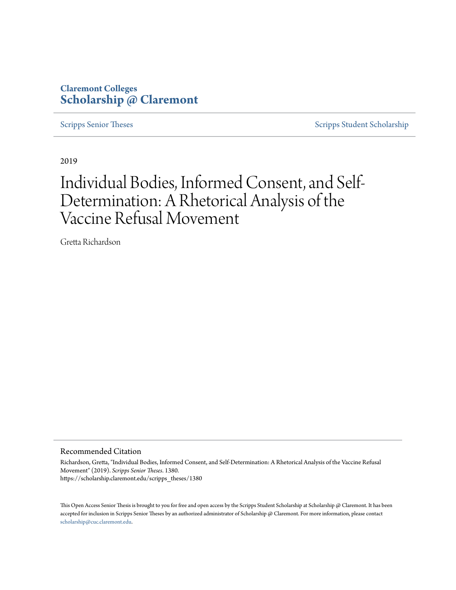## **Claremont Colleges [Scholarship @ Claremont](https://scholarship.claremont.edu)**

[Scripps Senior Theses](https://scholarship.claremont.edu/scripps_theses) [Scripps Student Scholarship](https://scholarship.claremont.edu/scripps_student)

2019

# Individual Bodies, Informed Consent, and Self-Determination: A Rhetorical Analysis of the Vaccine Refusal Movement

Gretta Richardson

Recommended Citation

Richardson, Gretta, "Individual Bodies, Informed Consent, and Self-Determination: A Rhetorical Analysis of the Vaccine Refusal Movement" (2019). *Scripps Senior Theses*. 1380. https://scholarship.claremont.edu/scripps\_theses/1380

This Open Access Senior Thesis is brought to you for free and open access by the Scripps Student Scholarship at Scholarship @ Claremont. It has been accepted for inclusion in Scripps Senior Theses by an authorized administrator of Scholarship @ Claremont. For more information, please contact [scholarship@cuc.claremont.edu.](mailto:scholarship@cuc.claremont.edu)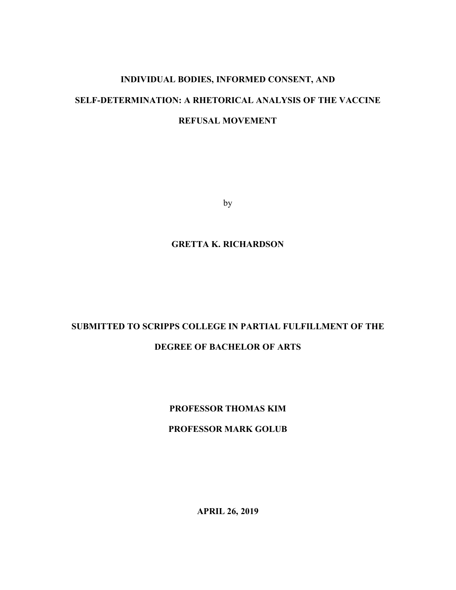## **INDIVIDUAL BODIES, INFORMED CONSENT, AND SELF-DETERMINATION: A RHETORICAL ANALYSIS OF THE VACCINE REFUSAL MOVEMENT**

by

### **GRETTA K. RICHARDSON**

## **SUBMITTED TO SCRIPPS COLLEGE IN PARTIAL FULFILLMENT OF THE DEGREE OF BACHELOR OF ARTS**

## **PROFESSOR THOMAS KIM**

### **PROFESSOR MARK GOLUB**

**APRIL 26, 2019**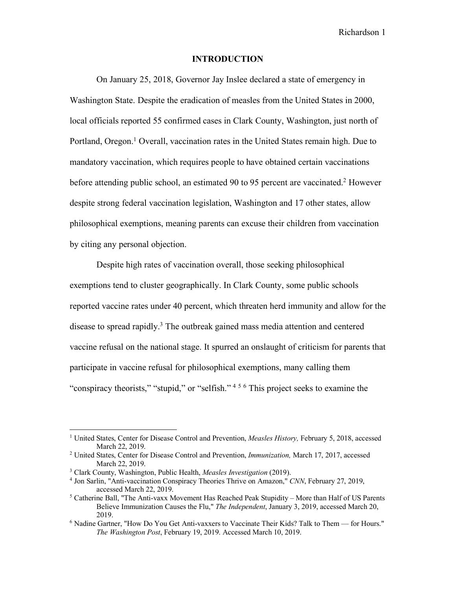#### **INTRODUCTION**

On January 25, 2018, Governor Jay Inslee declared a state of emergency in Washington State. Despite the eradication of measles from the United States in 2000, local officials reported 55 confirmed cases in Clark County, Washington, just north of Portland, Oregon.<sup>1</sup> Overall, vaccination rates in the United States remain high. Due to mandatory vaccination, which requires people to have obtained certain vaccinations before attending public school, an estimated 90 to 95 percent are vaccinated.<sup>2</sup> However despite strong federal vaccination legislation, Washington and 17 other states, allow philosophical exemptions, meaning parents can excuse their children from vaccination by citing any personal objection.

Despite high rates of vaccination overall, those seeking philosophical exemptions tend to cluster geographically. In Clark County, some public schools reported vaccine rates under 40 percent, which threaten herd immunity and allow for the disease to spread rapidly.<sup>3</sup> The outbreak gained mass media attention and centered vaccine refusal on the national stage. It spurred an onslaught of criticism for parents that participate in vaccine refusal for philosophical exemptions, many calling them "conspiracy theorists," "stupid," or "selfish." 4 <sup>5</sup> <sup>6</sup> This project seeks to examine the

<sup>1</sup> United States, Center for Disease Control and Prevention, *Measles History,* February 5, 2018, accessed March 22, 2019.

<sup>2</sup> United States, Center for Disease Control and Prevention, *Immunization,* March 17, 2017, accessed March 22, 2019. 3 Clark County, Washington, Public Health, *Measles Investigation* (2019).

<sup>4</sup> Jon Sarlin, "Anti-vaccination Conspiracy Theories Thrive on Amazon," *CNN*, February 27, 2019, accessed March 22, 2019.

<sup>5</sup> Catherine Ball, "The Anti-vaxx Movement Has Reached Peak Stupidity – More than Half of US Parents Believe Immunization Causes the Flu," *The Independent*, January 3, 2019, accessed March 20, 2019.

<sup>6</sup> Nadine Gartner, "How Do You Get Anti-vaxxers to Vaccinate Their Kids? Talk to Them — for Hours." *The Washington Post*, February 19, 2019. Accessed March 10, 2019.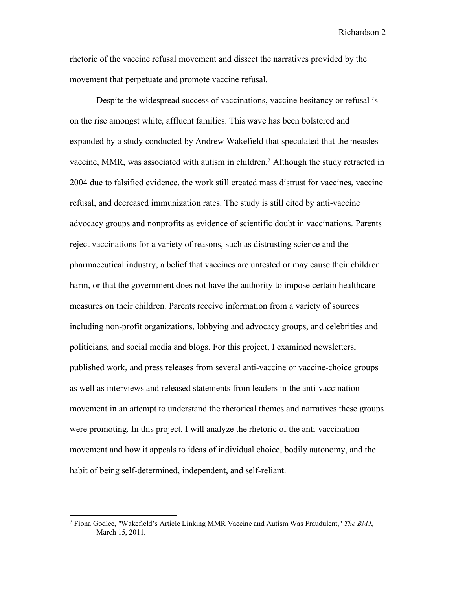rhetoric of the vaccine refusal movement and dissect the narratives provided by the movement that perpetuate and promote vaccine refusal.

Despite the widespread success of vaccinations, vaccine hesitancy or refusal is on the rise amongst white, affluent families. This wave has been bolstered and expanded by a study conducted by Andrew Wakefield that speculated that the measles vaccine, MMR, was associated with autism in children.7 Although the study retracted in 2004 due to falsified evidence, the work still created mass distrust for vaccines, vaccine refusal, and decreased immunization rates. The study is still cited by anti-vaccine advocacy groups and nonprofits as evidence of scientific doubt in vaccinations. Parents reject vaccinations for a variety of reasons, such as distrusting science and the pharmaceutical industry, a belief that vaccines are untested or may cause their children harm, or that the government does not have the authority to impose certain healthcare measures on their children. Parents receive information from a variety of sources including non-profit organizations, lobbying and advocacy groups, and celebrities and politicians, and social media and blogs. For this project, I examined newsletters, published work, and press releases from several anti-vaccine or vaccine-choice groups as well as interviews and released statements from leaders in the anti-vaccination movement in an attempt to understand the rhetorical themes and narratives these groups were promoting. In this project, I will analyze the rhetoric of the anti-vaccination movement and how it appeals to ideas of individual choice, bodily autonomy, and the habit of being self-determined, independent, and self-reliant.

<sup>7</sup> Fiona Godlee, "Wakefield's Article Linking MMR Vaccine and Autism Was Fraudulent," *The BMJ*, March 15, 2011.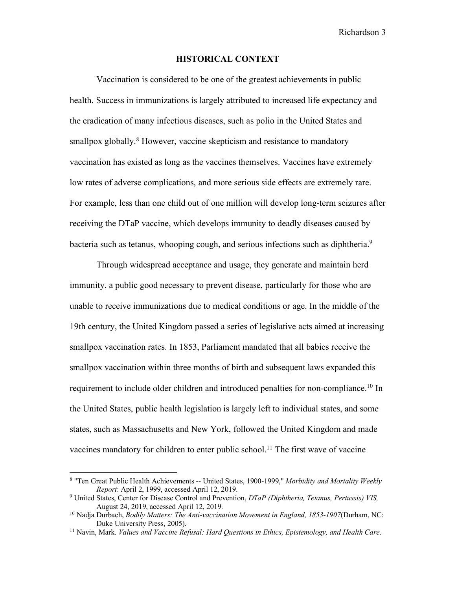#### **HISTORICAL CONTEXT**

Vaccination is considered to be one of the greatest achievements in public health. Success in immunizations is largely attributed to increased life expectancy and the eradication of many infectious diseases, such as polio in the United States and smallpox globally.<sup>8</sup> However, vaccine skepticism and resistance to mandatory vaccination has existed as long as the vaccines themselves. Vaccines have extremely low rates of adverse complications, and more serious side effects are extremely rare. For example, less than one child out of one million will develop long-term seizures after receiving the DTaP vaccine, which develops immunity to deadly diseases caused by bacteria such as tetanus, whooping cough, and serious infections such as diphtheria.<sup>9</sup>

Through widespread acceptance and usage, they generate and maintain herd immunity, a public good necessary to prevent disease, particularly for those who are unable to receive immunizations due to medical conditions or age. In the middle of the 19th century, the United Kingdom passed a series of legislative acts aimed at increasing smallpox vaccination rates. In 1853, Parliament mandated that all babies receive the smallpox vaccination within three months of birth and subsequent laws expanded this requirement to include older children and introduced penalties for non-compliance.<sup>10</sup> In the United States, public health legislation is largely left to individual states, and some states, such as Massachusetts and New York, followed the United Kingdom and made vaccines mandatory for children to enter public school.<sup>11</sup> The first wave of vaccine

<sup>8</sup> "Ten Great Public Health Achievements -- United States, 1900-1999," *Morbidity and Mortality Weekly Report*: April 2, 1999, accessed April 12, 2019.

<sup>9</sup> United States, Center for Disease Control and Prevention, *DTaP (Diphtheria, Tetanus, Pertussis) VIS,* August 24, 2019, accessed April 12, 2019.

<sup>10</sup> Nadja Durbach, *Bodily Matters: The Anti-vaccination Movement in England, 1853-1907*(Durham, NC: Duke University Press, 2005).

<sup>11</sup> Navin, Mark. *Values and Vaccine Refusal: Hard Questions in Ethics, Epistemology, and Health Care*.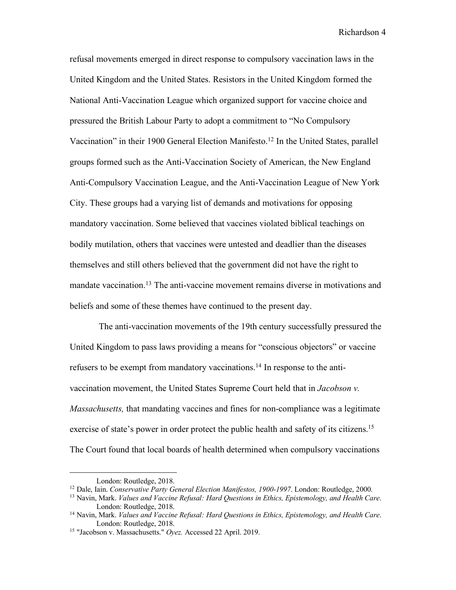refusal movements emerged in direct response to compulsory vaccination laws in the United Kingdom and the United States. Resistors in the United Kingdom formed the National Anti-Vaccination League which organized support for vaccine choice and pressured the British Labour Party to adopt a commitment to "No Compulsory Vaccination" in their 1900 General Election Manifesto.<sup>12</sup> In the United States, parallel groups formed such as the Anti-Vaccination Society of American, the New England Anti-Compulsory Vaccination League, and the Anti-Vaccination League of New York City. These groups had a varying list of demands and motivations for opposing mandatory vaccination. Some believed that vaccines violated biblical teachings on bodily mutilation, others that vaccines were untested and deadlier than the diseases themselves and still others believed that the government did not have the right to mandate vaccination.<sup>13</sup> The anti-vaccine movement remains diverse in motivations and beliefs and some of these themes have continued to the present day.

The anti-vaccination movements of the 19th century successfully pressured the United Kingdom to pass laws providing a means for "conscious objectors" or vaccine refusers to be exempt from mandatory vaccinations.<sup>14</sup> In response to the antivaccination movement, the United States Supreme Court held that in *Jacobson v. Massachusetts,* that mandating vaccines and fines for non-compliance was a legitimate exercise of state's power in order protect the public health and safety of its citizens.<sup>15</sup> The Court found that local boards of health determined when compulsory vaccinations

London: Routledge, 2018.

<sup>12</sup> Dale, Iain. *Conservative Party General Election Manifestos, 1900-1997*. London: Routledge, 2000.

<sup>13</sup> Navin, Mark. *Values and Vaccine Refusal: Hard Questions in Ethics, Epistemology, and Health Care*. London: Routledge, 2018.

<sup>14</sup> Navin, Mark. *Values and Vaccine Refusal: Hard Questions in Ethics, Epistemology, and Health Care*. London: Routledge, 2018.

<sup>15</sup> "Jacobson v. Massachusetts." *Oyez.* Accessed 22 April. 2019.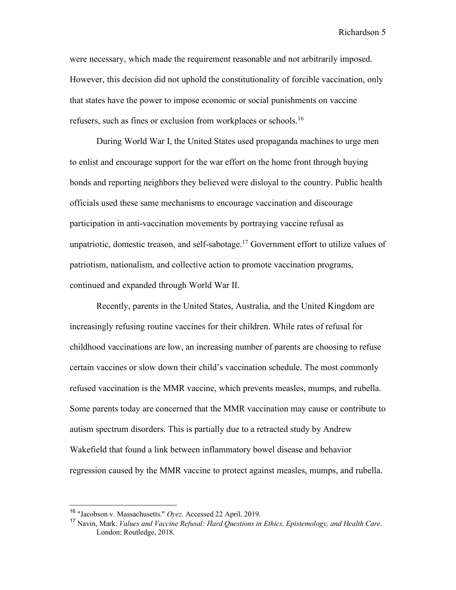were necessary, which made the requirement reasonable and not arbitrarily imposed. However, this decision did not uphold the constitutionality of forcible vaccination, only that states have the power to impose economic or social punishments on vaccine refusers, such as fines or exclusion from workplaces or schools.<sup>16</sup>

During World War I, the United States used propaganda machines to urge men to enlist and encourage support for the war effort on the home front through buying bonds and reporting neighbors they believed were disloyal to the country. Public health officials used these same mechanisms to encourage vaccination and discourage participation in anti-vaccination movements by portraying vaccine refusal as unpatriotic, domestic treason, and self-sabotage.<sup>17</sup> Government effort to utilize values of patriotism, nationalism, and collective action to promote vaccination programs, continued and expanded through World War II.

Recently, parents in the United States, Australia, and the United Kingdom are increasingly refusing routine vaccines for their children. While rates of refusal for childhood vaccinations are low, an increasing number of parents are choosing to refuse certain vaccines or slow down their child's vaccination schedule. The most commonly refused vaccination is the MMR vaccine, which prevents measles, mumps, and rubella. Some parents today are concerned that the MMR vaccination may cause or contribute to autism spectrum disorders. This is partially due to a retracted study by Andrew Wakefield that found a link between inflammatory bowel disease and behavior regression caused by the MMR vaccine to protect against measles, mumps, and rubella.

 <sup>16</sup> "Jacobson v. Massachusetts." *Oyez*. Accessed 22 April. 2019.

<sup>17</sup> Navin, Mark. *Values and Vaccine Refusal: Hard Questions in Ethics, Epistemology, and Health Care*. London: Routledge, 2018.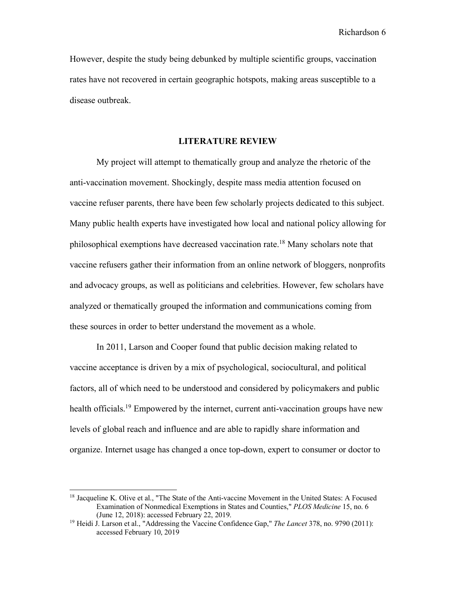However, despite the study being debunked by multiple scientific groups, vaccination rates have not recovered in certain geographic hotspots, making areas susceptible to a disease outbreak.

#### **LITERATURE REVIEW**

My project will attempt to thematically group and analyze the rhetoric of the anti-vaccination movement. Shockingly, despite mass media attention focused on vaccine refuser parents, there have been few scholarly projects dedicated to this subject. Many public health experts have investigated how local and national policy allowing for philosophical exemptions have decreased vaccination rate.18 Many scholars note that vaccine refusers gather their information from an online network of bloggers, nonprofits and advocacy groups, as well as politicians and celebrities. However, few scholars have analyzed or thematically grouped the information and communications coming from these sources in order to better understand the movement as a whole.

In 2011, Larson and Cooper found that public decision making related to vaccine acceptance is driven by a mix of psychological, sociocultural, and political factors, all of which need to be understood and considered by policymakers and public health officials.<sup>19</sup> Empowered by the internet, current anti-vaccination groups have new levels of global reach and influence and are able to rapidly share information and organize. Internet usage has changed a once top-down, expert to consumer or doctor to

<sup>&</sup>lt;sup>18</sup> Jacqueline K. Olive et al., "The State of the Anti-vaccine Movement in the United States: A Focused Examination of Nonmedical Exemptions in States and Counties," *PLOS Medicine* 15, no. 6 (June 12, 2018): accessed February 22, 2019.

<sup>19</sup> Heidi J. Larson et al., "Addressing the Vaccine Confidence Gap," *The Lancet* 378, no. 9790 (2011): accessed February 10, 2019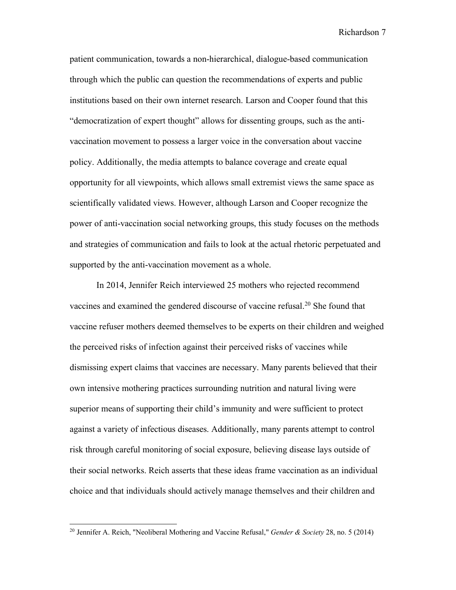patient communication, towards a non-hierarchical, dialogue-based communication through which the public can question the recommendations of experts and public institutions based on their own internet research. Larson and Cooper found that this "democratization of expert thought" allows for dissenting groups, such as the antivaccination movement to possess a larger voice in the conversation about vaccine policy. Additionally, the media attempts to balance coverage and create equal opportunity for all viewpoints, which allows small extremist views the same space as scientifically validated views. However, although Larson and Cooper recognize the power of anti-vaccination social networking groups, this study focuses on the methods and strategies of communication and fails to look at the actual rhetoric perpetuated and supported by the anti-vaccination movement as a whole.

In 2014, Jennifer Reich interviewed 25 mothers who rejected recommend vaccines and examined the gendered discourse of vaccine refusal.<sup>20</sup> She found that vaccine refuser mothers deemed themselves to be experts on their children and weighed the perceived risks of infection against their perceived risks of vaccines while dismissing expert claims that vaccines are necessary. Many parents believed that their own intensive mothering practices surrounding nutrition and natural living were superior means of supporting their child's immunity and were sufficient to protect against a variety of infectious diseases. Additionally, many parents attempt to control risk through careful monitoring of social exposure, believing disease lays outside of their social networks. Reich asserts that these ideas frame vaccination as an individual choice and that individuals should actively manage themselves and their children and

<sup>20</sup> Jennifer A. Reich, "Neoliberal Mothering and Vaccine Refusal," *Gender & Society* 28, no. 5 (2014)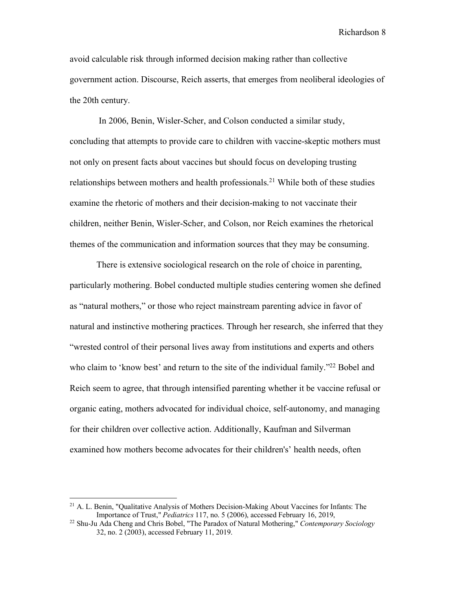avoid calculable risk through informed decision making rather than collective government action. Discourse, Reich asserts, that emerges from neoliberal ideologies of the 20th century.

In 2006, Benin, Wisler-Scher, and Colson conducted a similar study, concluding that attempts to provide care to children with vaccine-skeptic mothers must not only on present facts about vaccines but should focus on developing trusting relationships between mothers and health professionals.<sup>21</sup> While both of these studies examine the rhetoric of mothers and their decision-making to not vaccinate their children, neither Benin, Wisler-Scher, and Colson, nor Reich examines the rhetorical themes of the communication and information sources that they may be consuming.

There is extensive sociological research on the role of choice in parenting, particularly mothering. Bobel conducted multiple studies centering women she defined as "natural mothers," or those who reject mainstream parenting advice in favor of natural and instinctive mothering practices. Through her research, she inferred that they "wrested control of their personal lives away from institutions and experts and others who claim to 'know best' and return to the site of the individual family."<sup>22</sup> Bobel and Reich seem to agree, that through intensified parenting whether it be vaccine refusal or organic eating, mothers advocated for individual choice, self-autonomy, and managing for their children over collective action. Additionally, Kaufman and Silverman examined how mothers become advocates for their children's' health needs, often

<sup>&</sup>lt;sup>21</sup> A. L. Benin, "Qualitative Analysis of Mothers Decision-Making About Vaccines for Infants: The Importance of Trust," *Pediatrics* 117, no. 5 (2006), accessed February 16, 2019,

<sup>&</sup>lt;sup>22</sup> Shu-Ju Ada Cheng and Chris Bobel, "The Paradox of Natural Mothering," *Contemporary Sociology* 32, no. 2 (2003), accessed February 11, 2019.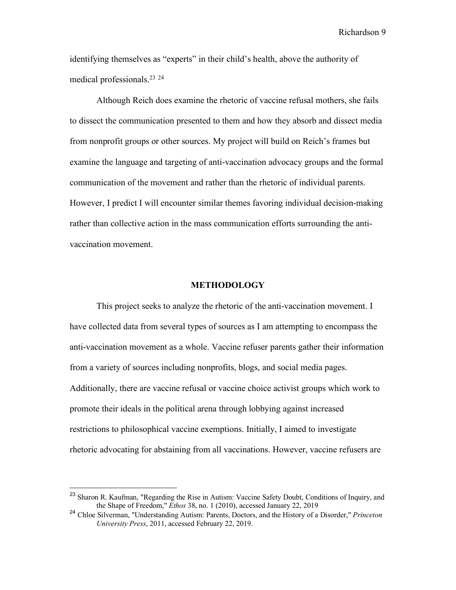identifying themselves as "experts" in their child's health, above the authority of medical professionals.23 <sup>24</sup>

Although Reich does examine the rhetoric of vaccine refusal mothers, she fails to dissect the communication presented to them and how they absorb and dissect media from nonprofit groups or other sources. My project will build on Reich's frames but examine the language and targeting of anti-vaccination advocacy groups and the formal communication of the movement and rather than the rhetoric of individual parents. However, I predict I will encounter similar themes favoring individual decision-making rather than collective action in the mass communication efforts surrounding the antivaccination movement.

#### **METHODOLOGY**

This project seeks to analyze the rhetoric of the anti-vaccination movement. I have collected data from several types of sources as I am attempting to encompass the anti-vaccination movement as a whole. Vaccine refuser parents gather their information from a variety of sources including nonprofits, blogs, and social media pages. Additionally, there are vaccine refusal or vaccine choice activist groups which work to promote their ideals in the political arena through lobbying against increased restrictions to philosophical vaccine exemptions. Initially, I aimed to investigate rhetoric advocating for abstaining from all vaccinations. However, vaccine refusers are

<sup>&</sup>lt;sup>23</sup> Sharon R. Kaufman, "Regarding the Rise in Autism: Vaccine Safety Doubt, Conditions of Inquiry, and the Shape of Freedom," *Ethos* 38, no. 1 (2010), accessed January 22, 2019

<sup>24</sup> Chloe Silverman, "Understanding Autism: Parents, Doctors, and the History of a Disorder," *Princeton University Press*, 2011, accessed February 22, 2019.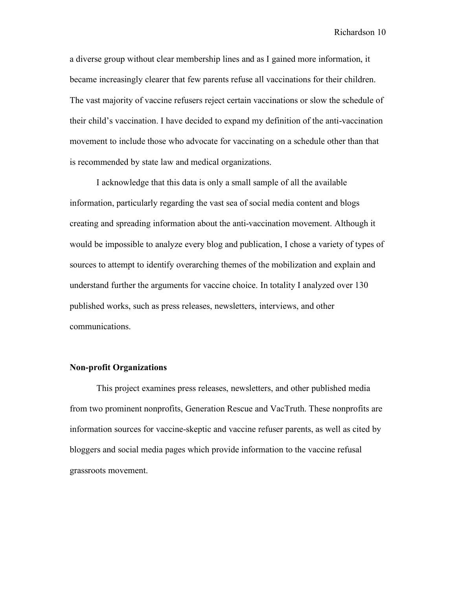a diverse group without clear membership lines and as I gained more information, it became increasingly clearer that few parents refuse all vaccinations for their children. The vast majority of vaccine refusers reject certain vaccinations or slow the schedule of their child's vaccination. I have decided to expand my definition of the anti-vaccination movement to include those who advocate for vaccinating on a schedule other than that is recommended by state law and medical organizations.

I acknowledge that this data is only a small sample of all the available information, particularly regarding the vast sea of social media content and blogs creating and spreading information about the anti-vaccination movement. Although it would be impossible to analyze every blog and publication, I chose a variety of types of sources to attempt to identify overarching themes of the mobilization and explain and understand further the arguments for vaccine choice. In totality I analyzed over 130 published works, such as press releases, newsletters, interviews, and other communications.

#### **Non-profit Organizations**

This project examines press releases, newsletters, and other published media from two prominent nonprofits, Generation Rescue and VacTruth. These nonprofits are information sources for vaccine-skeptic and vaccine refuser parents, as well as cited by bloggers and social media pages which provide information to the vaccine refusal grassroots movement.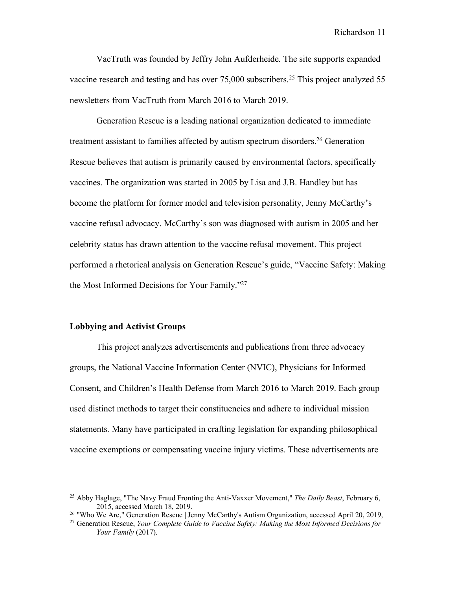VacTruth was founded by Jeffry John Aufderheide. The site supports expanded vaccine research and testing and has over  $75,000$  subscribers.<sup>25</sup> This project analyzed 55 newsletters from VacTruth from March 2016 to March 2019.

Generation Rescue is a leading national organization dedicated to immediate treatment assistant to families affected by autism spectrum disorders.26 Generation Rescue believes that autism is primarily caused by environmental factors, specifically vaccines. The organization was started in 2005 by Lisa and J.B. Handley but has become the platform for former model and television personality, Jenny McCarthy's vaccine refusal advocacy. McCarthy's son was diagnosed with autism in 2005 and her celebrity status has drawn attention to the vaccine refusal movement. This project performed a rhetorical analysis on Generation Rescue's guide, "Vaccine Safety: Making the Most Informed Decisions for Your Family."27

#### **Lobbying and Activist Groups**

This project analyzes advertisements and publications from three advocacy groups, the National Vaccine Information Center (NVIC), Physicians for Informed Consent, and Children's Health Defense from March 2016 to March 2019. Each group used distinct methods to target their constituencies and adhere to individual mission statements. Many have participated in crafting legislation for expanding philosophical vaccine exemptions or compensating vaccine injury victims. These advertisements are

<sup>25</sup> Abby Haglage, "The Navy Fraud Fronting the Anti-Vaxxer Movement," *The Daily Beast*, February 6, 2015, accessed March 18, 2019.

<sup>&</sup>lt;sup>26</sup> "Who We Are," Generation Rescue | Jenny McCarthy's Autism Organization, accessed April 20, 2019,

<sup>27</sup> Generation Rescue, *Your Complete Guide to Vaccine Safety: Making the Most Informed Decisions for Your Family* (2017).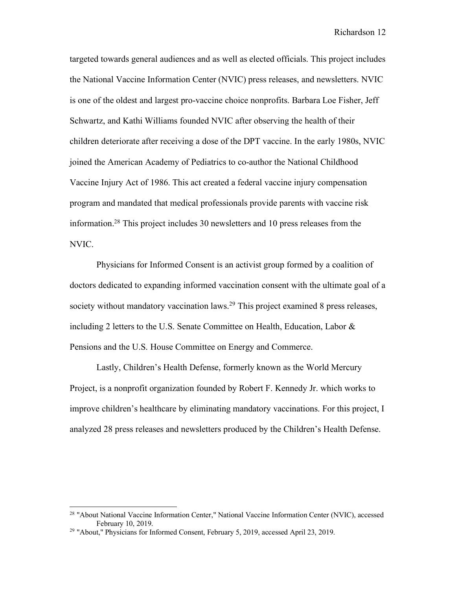targeted towards general audiences and as well as elected officials. This project includes the National Vaccine Information Center (NVIC) press releases, and newsletters. NVIC is one of the oldest and largest pro-vaccine choice nonprofits. Barbara Loe Fisher, Jeff Schwartz, and Kathi Williams founded NVIC after observing the health of their children deteriorate after receiving a dose of the DPT vaccine. In the early 1980s, NVIC joined the American Academy of Pediatrics to co-author the National Childhood Vaccine Injury Act of 1986. This act created a federal vaccine injury compensation program and mandated that medical professionals provide parents with vaccine risk information.28 This project includes 30 newsletters and 10 press releases from the NVIC.

Physicians for Informed Consent is an activist group formed by a coalition of doctors dedicated to expanding informed vaccination consent with the ultimate goal of a society without mandatory vaccination laws.<sup>29</sup> This project examined 8 press releases, including 2 letters to the U.S. Senate Committee on Health, Education, Labor & Pensions and the U.S. House Committee on Energy and Commerce.

Lastly, Children's Health Defense, formerly known as the World Mercury Project, is a nonprofit organization founded by Robert F. Kennedy Jr. which works to improve children's healthcare by eliminating mandatory vaccinations. For this project, I analyzed 28 press releases and newsletters produced by the Children's Health Defense.

<sup>28</sup> "About National Vaccine Information Center," National Vaccine Information Center (NVIC), accessed February 10, 2019.

<sup>29</sup> "About," Physicians for Informed Consent, February 5, 2019, accessed April 23, 2019.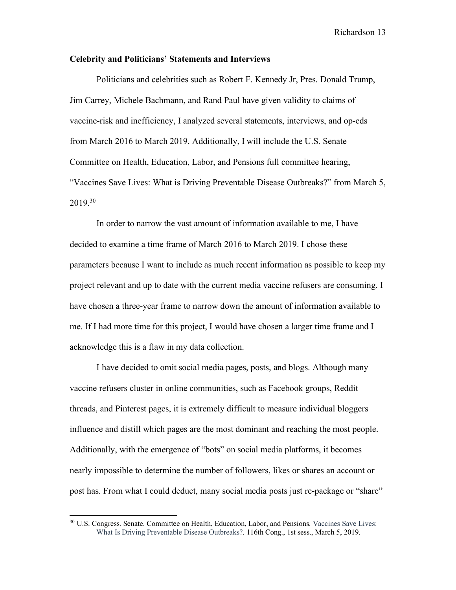#### **Celebrity and Politicians' Statements and Interviews**

Politicians and celebrities such as Robert F. Kennedy Jr, Pres. Donald Trump, Jim Carrey, Michele Bachmann, and Rand Paul have given validity to claims of vaccine-risk and inefficiency, I analyzed several statements, interviews, and op-eds from March 2016 to March 2019. Additionally, I will include the U.S. Senate Committee on Health, Education, Labor, and Pensions full committee hearing, "Vaccines Save Lives: What is Driving Preventable Disease Outbreaks?" from March 5, 2019.30

In order to narrow the vast amount of information available to me, I have decided to examine a time frame of March 2016 to March 2019. I chose these parameters because I want to include as much recent information as possible to keep my project relevant and up to date with the current media vaccine refusers are consuming. I have chosen a three-year frame to narrow down the amount of information available to me. If I had more time for this project, I would have chosen a larger time frame and I acknowledge this is a flaw in my data collection.

I have decided to omit social media pages, posts, and blogs. Although many vaccine refusers cluster in online communities, such as Facebook groups, Reddit threads, and Pinterest pages, it is extremely difficult to measure individual bloggers influence and distill which pages are the most dominant and reaching the most people. Additionally, with the emergence of "bots" on social media platforms, it becomes nearly impossible to determine the number of followers, likes or shares an account or post has. From what I could deduct, many social media posts just re-package or "share"

<sup>&</sup>lt;sup>30</sup> U.S. Congress. Senate. Committee on Health, Education, Labor, and Pensions. Vaccines Save Lives: What Is Driving Preventable Disease Outbreaks?. 116th Cong., 1st sess., March 5, 2019.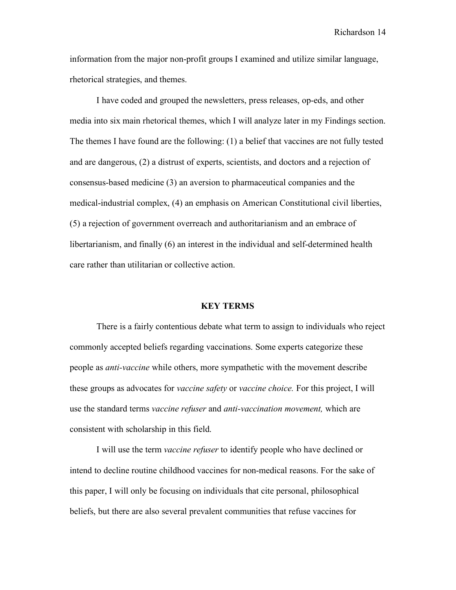information from the major non-profit groups I examined and utilize similar language, rhetorical strategies, and themes.

I have coded and grouped the newsletters, press releases, op-eds, and other media into six main rhetorical themes, which I will analyze later in my Findings section. The themes I have found are the following: (1) a belief that vaccines are not fully tested and are dangerous, (2) a distrust of experts, scientists, and doctors and a rejection of consensus-based medicine (3) an aversion to pharmaceutical companies and the medical-industrial complex, (4) an emphasis on American Constitutional civil liberties, (5) a rejection of government overreach and authoritarianism and an embrace of libertarianism, and finally (6) an interest in the individual and self-determined health care rather than utilitarian or collective action.

#### **KEY TERMS**

There is a fairly contentious debate what term to assign to individuals who reject commonly accepted beliefs regarding vaccinations. Some experts categorize these people as *anti-vaccine* while others, more sympathetic with the movement describe these groups as advocates for *vaccine safety* or *vaccine choice.* For this project, I will use the standard terms *vaccine refuser* and *anti-vaccination movement,* which are consistent with scholarship in this field.

I will use the term *vaccine refuser* to identify people who have declined or intend to decline routine childhood vaccines for non-medical reasons. For the sake of this paper, I will only be focusing on individuals that cite personal, philosophical beliefs, but there are also several prevalent communities that refuse vaccines for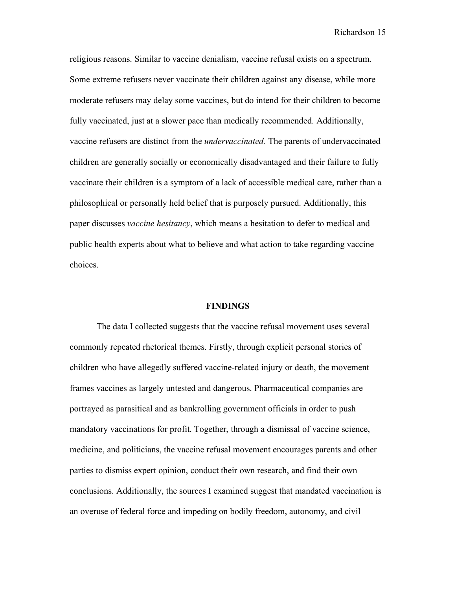religious reasons. Similar to vaccine denialism, vaccine refusal exists on a spectrum. Some extreme refusers never vaccinate their children against any disease, while more moderate refusers may delay some vaccines, but do intend for their children to become fully vaccinated, just at a slower pace than medically recommended. Additionally, vaccine refusers are distinct from the *undervaccinated.* The parents of undervaccinated children are generally socially or economically disadvantaged and their failure to fully vaccinate their children is a symptom of a lack of accessible medical care, rather than a philosophical or personally held belief that is purposely pursued. Additionally, this paper discusses *vaccine hesitancy*, which means a hesitation to defer to medical and public health experts about what to believe and what action to take regarding vaccine choices.

#### **FINDINGS**

The data I collected suggests that the vaccine refusal movement uses several commonly repeated rhetorical themes. Firstly, through explicit personal stories of children who have allegedly suffered vaccine-related injury or death, the movement frames vaccines as largely untested and dangerous. Pharmaceutical companies are portrayed as parasitical and as bankrolling government officials in order to push mandatory vaccinations for profit. Together, through a dismissal of vaccine science, medicine, and politicians, the vaccine refusal movement encourages parents and other parties to dismiss expert opinion, conduct their own research, and find their own conclusions. Additionally, the sources I examined suggest that mandated vaccination is an overuse of federal force and impeding on bodily freedom, autonomy, and civil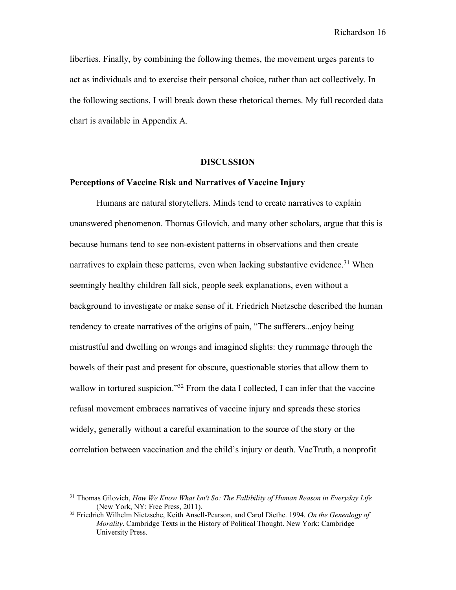liberties. Finally, by combining the following themes, the movement urges parents to act as individuals and to exercise their personal choice, rather than act collectively. In the following sections, I will break down these rhetorical themes. My full recorded data chart is available in Appendix A.

#### **DISCUSSION**

#### **Perceptions of Vaccine Risk and Narratives of Vaccine Injury**

Humans are natural storytellers. Minds tend to create narratives to explain unanswered phenomenon. Thomas Gilovich, and many other scholars, argue that this is because humans tend to see non-existent patterns in observations and then create narratives to explain these patterns, even when lacking substantive evidence.<sup>31</sup> When seemingly healthy children fall sick, people seek explanations, even without a background to investigate or make sense of it. Friedrich Nietzsche described the human tendency to create narratives of the origins of pain, "The sufferers...enjoy being mistrustful and dwelling on wrongs and imagined slights: they rummage through the bowels of their past and present for obscure, questionable stories that allow them to wallow in tortured suspicion."<sup>32</sup> From the data I collected, I can infer that the vaccine refusal movement embraces narratives of vaccine injury and spreads these stories widely, generally without a careful examination to the source of the story or the correlation between vaccination and the child's injury or death. VacTruth, a nonprofit

<sup>31</sup> Thomas Gilovich, *How We Know What Isn't So: The Fallibility of Human Reason in Everyday Life* (New York, NY: Free Press, 2011).

<sup>32</sup> Friedrich Wilhelm Nietzsche, Keith Ansell-Pearson, and Carol Diethe. 1994. *On the Genealogy of Morality*. Cambridge Texts in the History of Political Thought. New York: Cambridge University Press.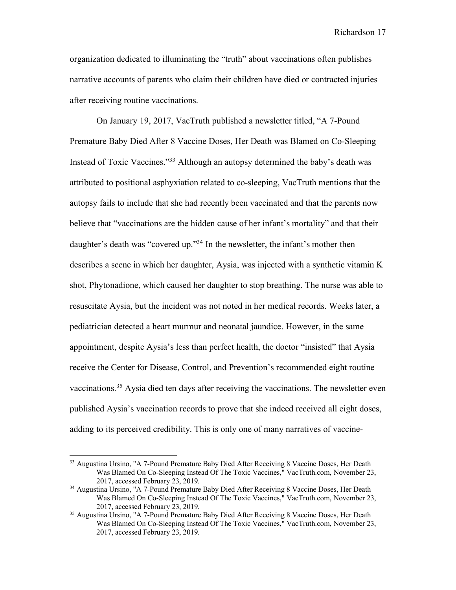organization dedicated to illuminating the "truth" about vaccinations often publishes narrative accounts of parents who claim their children have died or contracted injuries after receiving routine vaccinations.

On January 19, 2017, VacTruth published a newsletter titled, "A 7-Pound Premature Baby Died After 8 Vaccine Doses, Her Death was Blamed on Co-Sleeping Instead of Toxic Vaccines."33 Although an autopsy determined the baby's death was attributed to positional asphyxiation related to co-sleeping, VacTruth mentions that the autopsy fails to include that she had recently been vaccinated and that the parents now believe that "vaccinations are the hidden cause of her infant's mortality" and that their daughter's death was "covered up."<sup>34</sup> In the newsletter, the infant's mother then describes a scene in which her daughter, Aysia, was injected with a synthetic vitamin K shot, Phytonadione, which caused her daughter to stop breathing. The nurse was able to resuscitate Aysia, but the incident was not noted in her medical records. Weeks later, a pediatrician detected a heart murmur and neonatal jaundice. However, in the same appointment, despite Aysia's less than perfect health, the doctor "insisted" that Aysia receive the Center for Disease, Control, and Prevention's recommended eight routine vaccinations.<sup>35</sup> Aysia died ten days after receiving the vaccinations. The newsletter even published Aysia's vaccination records to prove that she indeed received all eight doses, adding to its perceived credibility. This is only one of many narratives of vaccine-

<sup>&</sup>lt;sup>33</sup> Augustina Ursino, "A 7-Pound Premature Baby Died After Receiving 8 Vaccine Doses, Her Death Was Blamed On Co-Sleeping Instead Of The Toxic Vaccines," VacTruth.com, November 23, 2017, accessed February 23, 2019.

<sup>&</sup>lt;sup>34</sup> Augustina Ursino, "A 7-Pound Premature Baby Died After Receiving 8 Vaccine Doses, Her Death Was Blamed On Co-Sleeping Instead Of The Toxic Vaccines," VacTruth.com, November 23, 2017, accessed February 23, 2019.

<sup>&</sup>lt;sup>35</sup> Augustina Ursino, "A 7-Pound Premature Baby Died After Receiving 8 Vaccine Doses, Her Death Was Blamed On Co-Sleeping Instead Of The Toxic Vaccines," VacTruth.com, November 23, 2017, accessed February 23, 2019.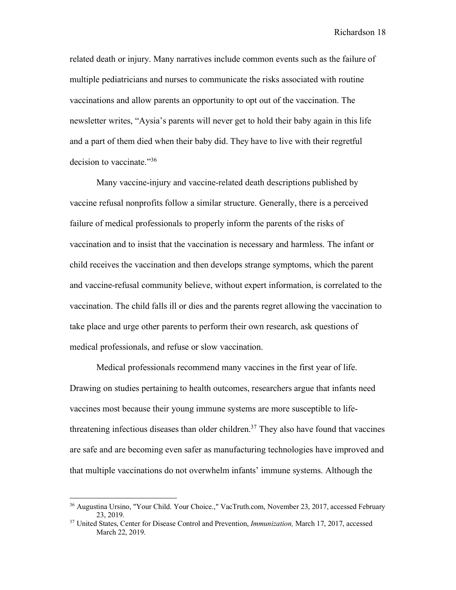related death or injury. Many narratives include common events such as the failure of multiple pediatricians and nurses to communicate the risks associated with routine vaccinations and allow parents an opportunity to opt out of the vaccination. The newsletter writes, "Aysia's parents will never get to hold their baby again in this life and a part of them died when their baby did. They have to live with their regretful decision to vaccinate."36

Many vaccine-injury and vaccine-related death descriptions published by vaccine refusal nonprofits follow a similar structure. Generally, there is a perceived failure of medical professionals to properly inform the parents of the risks of vaccination and to insist that the vaccination is necessary and harmless. The infant or child receives the vaccination and then develops strange symptoms, which the parent and vaccine-refusal community believe, without expert information, is correlated to the vaccination. The child falls ill or dies and the parents regret allowing the vaccination to take place and urge other parents to perform their own research, ask questions of medical professionals, and refuse or slow vaccination.

Medical professionals recommend many vaccines in the first year of life. Drawing on studies pertaining to health outcomes, researchers argue that infants need vaccines most because their young immune systems are more susceptible to lifethreatening infectious diseases than older children.<sup>37</sup> They also have found that vaccines are safe and are becoming even safer as manufacturing technologies have improved and that multiple vaccinations do not overwhelm infants' immune systems. Although the

<sup>36</sup> Augustina Ursino, "Your Child. Your Choice.," VacTruth.com, November 23, 2017, accessed February 23, 2019.

<sup>37</sup> United States, Center for Disease Control and Prevention, *Immunization,* March 17, 2017, accessed March 22, 2019.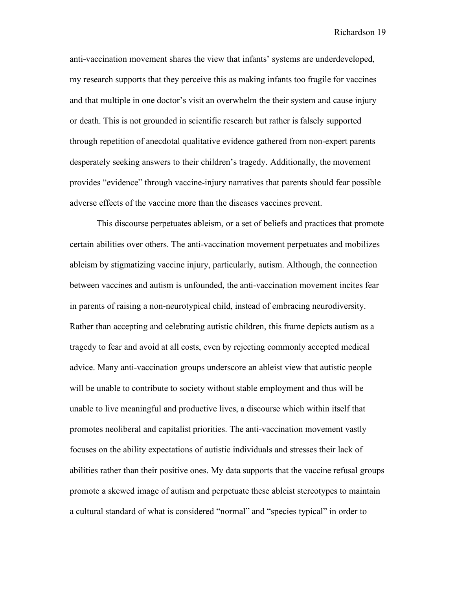anti-vaccination movement shares the view that infants' systems are underdeveloped, my research supports that they perceive this as making infants too fragile for vaccines and that multiple in one doctor's visit an overwhelm the their system and cause injury or death. This is not grounded in scientific research but rather is falsely supported through repetition of anecdotal qualitative evidence gathered from non-expert parents desperately seeking answers to their children's tragedy. Additionally, the movement provides "evidence" through vaccine-injury narratives that parents should fear possible adverse effects of the vaccine more than the diseases vaccines prevent.

This discourse perpetuates ableism, or a set of beliefs and practices that promote certain abilities over others. The anti-vaccination movement perpetuates and mobilizes ableism by stigmatizing vaccine injury, particularly, autism. Although, the connection between vaccines and autism is unfounded, the anti-vaccination movement incites fear in parents of raising a non-neurotypical child, instead of embracing neurodiversity. Rather than accepting and celebrating autistic children, this frame depicts autism as a tragedy to fear and avoid at all costs, even by rejecting commonly accepted medical advice. Many anti-vaccination groups underscore an ableist view that autistic people will be unable to contribute to society without stable employment and thus will be unable to live meaningful and productive lives, a discourse which within itself that promotes neoliberal and capitalist priorities. The anti-vaccination movement vastly focuses on the ability expectations of autistic individuals and stresses their lack of abilities rather than their positive ones. My data supports that the vaccine refusal groups promote a skewed image of autism and perpetuate these ableist stereotypes to maintain a cultural standard of what is considered "normal" and "species typical" in order to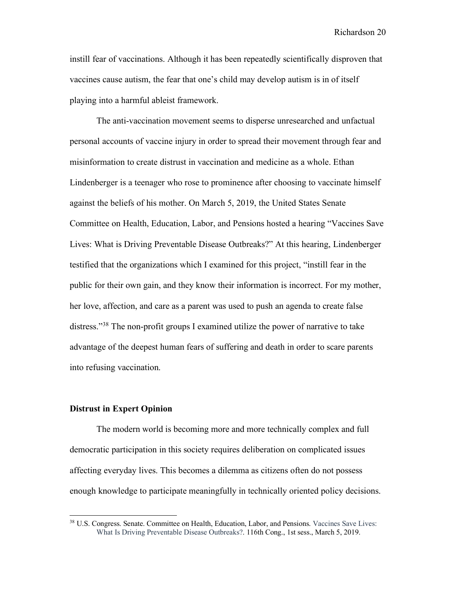instill fear of vaccinations. Although it has been repeatedly scientifically disproven that vaccines cause autism, the fear that one's child may develop autism is in of itself playing into a harmful ableist framework.

The anti-vaccination movement seems to disperse unresearched and unfactual personal accounts of vaccine injury in order to spread their movement through fear and misinformation to create distrust in vaccination and medicine as a whole. Ethan Lindenberger is a teenager who rose to prominence after choosing to vaccinate himself against the beliefs of his mother. On March 5, 2019, the United States Senate Committee on Health, Education, Labor, and Pensions hosted a hearing "Vaccines Save Lives: What is Driving Preventable Disease Outbreaks?" At this hearing, Lindenberger testified that the organizations which I examined for this project, "instill fear in the public for their own gain, and they know their information is incorrect. For my mother, her love, affection, and care as a parent was used to push an agenda to create false distress."38 The non-profit groups I examined utilize the power of narrative to take advantage of the deepest human fears of suffering and death in order to scare parents into refusing vaccination.

#### **Distrust in Expert Opinion**

The modern world is becoming more and more technically complex and full democratic participation in this society requires deliberation on complicated issues affecting everyday lives. This becomes a dilemma as citizens often do not possess enough knowledge to participate meaningfully in technically oriented policy decisions.

<sup>&</sup>lt;sup>38</sup> U.S. Congress. Senate. Committee on Health, Education, Labor, and Pensions. Vaccines Save Lives: What Is Driving Preventable Disease Outbreaks?. 116th Cong., 1st sess., March 5, 2019.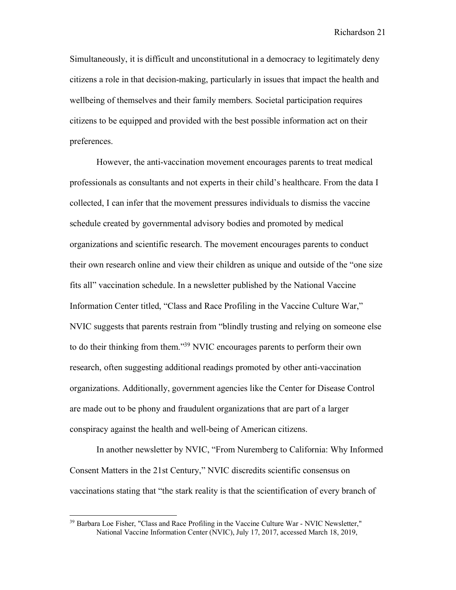Simultaneously, it is difficult and unconstitutional in a democracy to legitimately deny citizens a role in that decision-making, particularly in issues that impact the health and wellbeing of themselves and their family members. Societal participation requires citizens to be equipped and provided with the best possible information act on their preferences.

However, the anti-vaccination movement encourages parents to treat medical professionals as consultants and not experts in their child's healthcare. From the data I collected, I can infer that the movement pressures individuals to dismiss the vaccine schedule created by governmental advisory bodies and promoted by medical organizations and scientific research. The movement encourages parents to conduct their own research online and view their children as unique and outside of the "one size fits all" vaccination schedule. In a newsletter published by the National Vaccine Information Center titled, "Class and Race Profiling in the Vaccine Culture War," NVIC suggests that parents restrain from "blindly trusting and relying on someone else to do their thinking from them."39 NVIC encourages parents to perform their own research, often suggesting additional readings promoted by other anti-vaccination organizations. Additionally, government agencies like the Center for Disease Control are made out to be phony and fraudulent organizations that are part of a larger conspiracy against the health and well-being of American citizens.

In another newsletter by NVIC, "From Nuremberg to California: Why Informed Consent Matters in the 21st Century," NVIC discredits scientific consensus on vaccinations stating that "the stark reality is that the scientification of every branch of

<sup>&</sup>lt;sup>39</sup> Barbara Loe Fisher, "Class and Race Profiling in the Vaccine Culture War - NVIC Newsletter," National Vaccine Information Center (NVIC), July 17, 2017, accessed March 18, 2019,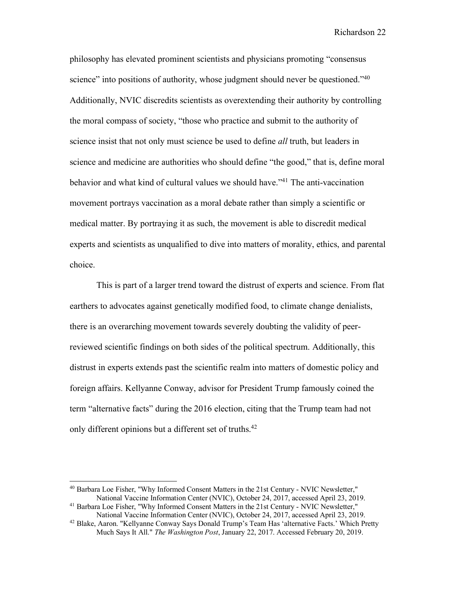philosophy has elevated prominent scientists and physicians promoting "consensus science" into positions of authority, whose judgment should never be questioned."<sup>40</sup> Additionally, NVIC discredits scientists as overextending their authority by controlling the moral compass of society, "those who practice and submit to the authority of science insist that not only must science be used to define *all* truth, but leaders in science and medicine are authorities who should define "the good," that is, define moral behavior and what kind of cultural values we should have."41 The anti-vaccination movement portrays vaccination as a moral debate rather than simply a scientific or medical matter. By portraying it as such, the movement is able to discredit medical experts and scientists as unqualified to dive into matters of morality, ethics, and parental choice.

This is part of a larger trend toward the distrust of experts and science. From flat earthers to advocates against genetically modified food, to climate change denialists, there is an overarching movement towards severely doubting the validity of peerreviewed scientific findings on both sides of the political spectrum. Additionally, this distrust in experts extends past the scientific realm into matters of domestic policy and foreign affairs. Kellyanne Conway, advisor for President Trump famously coined the term "alternative facts" during the 2016 election, citing that the Trump team had not only different opinions but a different set of truths.<sup>42</sup>

<sup>40</sup> Barbara Loe Fisher, "Why Informed Consent Matters in the 21st Century - NVIC Newsletter," National Vaccine Information Center (NVIC), October 24, 2017, accessed April 23, 2019. 41 Barbara Loe Fisher, "Why Informed Consent Matters in the 21st Century - NVIC Newsletter,"

National Vaccine Information Center (NVIC), October 24, 2017, accessed April 23, 2019. 42 Blake, Aaron. "Kellyanne Conway Says Donald Trump's Team Has 'alternative Facts.' Which Pretty

Much Says It All." *The Washington Post*, January 22, 2017. Accessed February 20, 2019.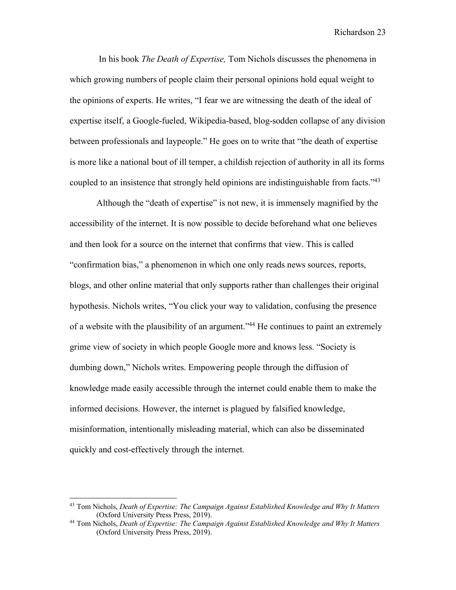In his book *The Death of Expertise,* Tom Nichols discusses the phenomena in which growing numbers of people claim their personal opinions hold equal weight to the opinions of experts. He writes, "I fear we are witnessing the death of the ideal of expertise itself, a Google-fueled, Wikipedia-based, blog-sodden collapse of any division between professionals and laypeople." He goes on to write that "the death of expertise is more like a national bout of ill temper, a childish rejection of authority in all its forms coupled to an insistence that strongly held opinions are indistinguishable from facts.<sup>243</sup>

Although the "death of expertise" is not new, it is immensely magnified by the accessibility of the internet. It is now possible to decide beforehand what one believes and then look for a source on the internet that confirms that view. This is called "confirmation bias," a phenomenon in which one only reads news sources, reports, blogs, and other online material that only supports rather than challenges their original hypothesis. Nichols writes, "You click your way to validation, confusing the presence of a website with the plausibility of an argument.<sup>344</sup> He continues to paint an extremely grime view of society in which people Google more and knows less. "Society is dumbing down," Nichols writes. Empowering people through the diffusion of knowledge made easily accessible through the internet could enable them to make the informed decisions. However, the internet is plagued by falsified knowledge, misinformation, intentionally misleading material, which can also be disseminated quickly and cost-effectively through the internet.

<sup>43</sup> Tom Nichols, *Death of Expertise: The Campaign Against Established Knowledge and Why It Matters*  (Oxford University Press Press, 2019).

<sup>44</sup> Tom Nichols, *Death of Expertise: The Campaign Against Established Knowledge and Why It Matters*  (Oxford University Press Press, 2019).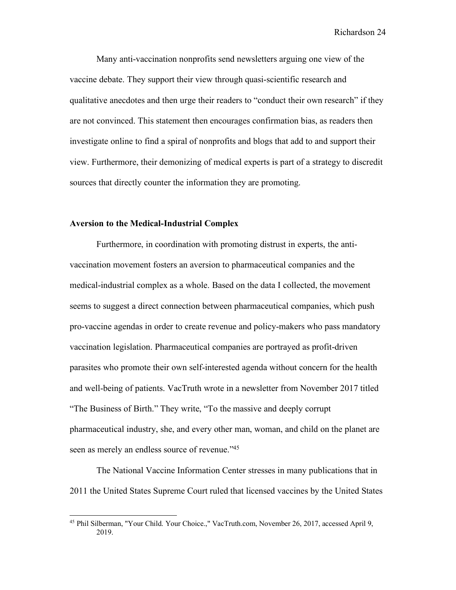Many anti-vaccination nonprofits send newsletters arguing one view of the vaccine debate. They support their view through quasi-scientific research and qualitative anecdotes and then urge their readers to "conduct their own research" if they are not convinced. This statement then encourages confirmation bias, as readers then investigate online to find a spiral of nonprofits and blogs that add to and support their view. Furthermore, their demonizing of medical experts is part of a strategy to discredit sources that directly counter the information they are promoting.

#### **Aversion to the Medical-Industrial Complex**

Furthermore, in coordination with promoting distrust in experts, the antivaccination movement fosters an aversion to pharmaceutical companies and the medical-industrial complex as a whole. Based on the data I collected, the movement seems to suggest a direct connection between pharmaceutical companies, which push pro-vaccine agendas in order to create revenue and policy-makers who pass mandatory vaccination legislation. Pharmaceutical companies are portrayed as profit-driven parasites who promote their own self-interested agenda without concern for the health and well-being of patients. VacTruth wrote in a newsletter from November 2017 titled "The Business of Birth." They write, "To the massive and deeply corrupt pharmaceutical industry, she, and every other man, woman, and child on the planet are seen as merely an endless source of revenue."<sup>45</sup>

The National Vaccine Information Center stresses in many publications that in 2011 the United States Supreme Court ruled that licensed vaccines by the United States

<sup>45</sup> Phil Silberman, "Your Child. Your Choice.," VacTruth.com, November 26, 2017, accessed April 9, 2019.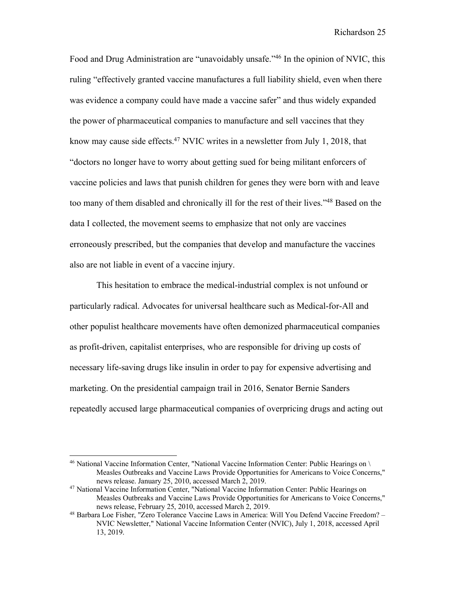Food and Drug Administration are "unavoidably unsafe."46 In the opinion of NVIC, this ruling "effectively granted vaccine manufactures a full liability shield, even when there was evidence a company could have made a vaccine safer" and thus widely expanded the power of pharmaceutical companies to manufacture and sell vaccines that they know may cause side effects.<sup>47</sup> NVIC writes in a newsletter from July 1, 2018, that "doctors no longer have to worry about getting sued for being militant enforcers of vaccine policies and laws that punish children for genes they were born with and leave too many of them disabled and chronically ill for the rest of their lives."48 Based on the data I collected, the movement seems to emphasize that not only are vaccines erroneously prescribed, but the companies that develop and manufacture the vaccines also are not liable in event of a vaccine injury.

This hesitation to embrace the medical-industrial complex is not unfound or particularly radical. Advocates for universal healthcare such as Medical-for-All and other populist healthcare movements have often demonized pharmaceutical companies as profit-driven, capitalist enterprises, who are responsible for driving up costs of necessary life-saving drugs like insulin in order to pay for expensive advertising and marketing. On the presidential campaign trail in 2016, Senator Bernie Sanders repeatedly accused large pharmaceutical companies of overpricing drugs and acting out

<sup>46</sup> National Vaccine Information Center, "National Vaccine Information Center: Public Hearings on \ Measles Outbreaks and Vaccine Laws Provide Opportunities for Americans to Voice Concerns," news release. January 25, 2010, accessed March 2, 2019.

<sup>47</sup> National Vaccine Information Center, "National Vaccine Information Center: Public Hearings on Measles Outbreaks and Vaccine Laws Provide Opportunities for Americans to Voice Concerns," news release, February 25, 2010, accessed March 2, 2019.

<sup>48</sup> Barbara Loe Fisher, "Zero Tolerance Vaccine Laws in America: Will You Defend Vaccine Freedom? – NVIC Newsletter," National Vaccine Information Center (NVIC), July 1, 2018, accessed April 13, 2019.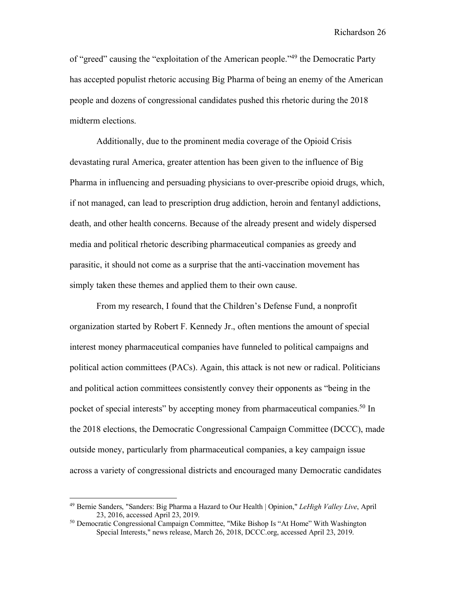of "greed" causing the "exploitation of the American people."49 the Democratic Party has accepted populist rhetoric accusing Big Pharma of being an enemy of the American people and dozens of congressional candidates pushed this rhetoric during the 2018 midterm elections.

Additionally, due to the prominent media coverage of the Opioid Crisis devastating rural America, greater attention has been given to the influence of Big Pharma in influencing and persuading physicians to over-prescribe opioid drugs, which, if not managed, can lead to prescription drug addiction, heroin and fentanyl addictions, death, and other health concerns. Because of the already present and widely dispersed media and political rhetoric describing pharmaceutical companies as greedy and parasitic, it should not come as a surprise that the anti-vaccination movement has simply taken these themes and applied them to their own cause.

From my research, I found that the Children's Defense Fund, a nonprofit organization started by Robert F. Kennedy Jr., often mentions the amount of special interest money pharmaceutical companies have funneled to political campaigns and political action committees (PACs). Again, this attack is not new or radical. Politicians and political action committees consistently convey their opponents as "being in the pocket of special interests" by accepting money from pharmaceutical companies.<sup>50</sup> In the 2018 elections, the Democratic Congressional Campaign Committee (DCCC), made outside money, particularly from pharmaceutical companies, a key campaign issue across a variety of congressional districts and encouraged many Democratic candidates

<sup>49</sup> Bernie Sanders, "Sanders: Big Pharma a Hazard to Our Health | Opinion," *LeHigh Valley Live*, April 23, 2016, accessed April 23, 2019.

<sup>50</sup> Democratic Congressional Campaign Committee, "Mike Bishop Is "At Home" With Washington Special Interests," news release, March 26, 2018, DCCC.org, accessed April 23, 2019.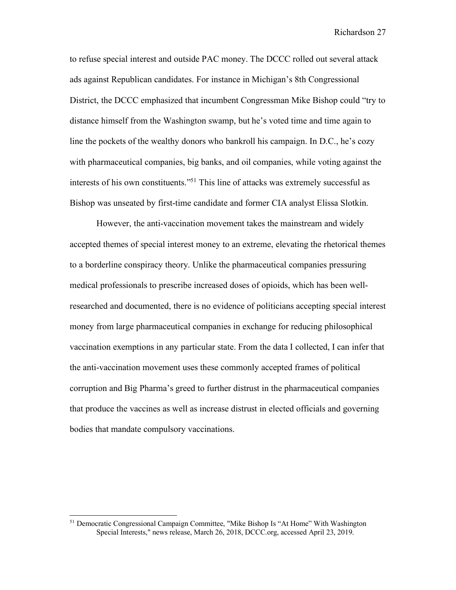to refuse special interest and outside PAC money. The DCCC rolled out several attack ads against Republican candidates. For instance in Michigan's 8th Congressional District, the DCCC emphasized that incumbent Congressman Mike Bishop could "try to distance himself from the Washington swamp, but he's voted time and time again to line the pockets of the wealthy donors who bankroll his campaign. In D.C., he's cozy with pharmaceutical companies, big banks, and oil companies, while voting against the interests of his own constituents."51 This line of attacks was extremely successful as Bishop was unseated by first-time candidate and former CIA analyst Elissa Slotkin.

However, the anti-vaccination movement takes the mainstream and widely accepted themes of special interest money to an extreme, elevating the rhetorical themes to a borderline conspiracy theory. Unlike the pharmaceutical companies pressuring medical professionals to prescribe increased doses of opioids, which has been wellresearched and documented, there is no evidence of politicians accepting special interest money from large pharmaceutical companies in exchange for reducing philosophical vaccination exemptions in any particular state. From the data I collected, I can infer that the anti-vaccination movement uses these commonly accepted frames of political corruption and Big Pharma's greed to further distrust in the pharmaceutical companies that produce the vaccines as well as increase distrust in elected officials and governing bodies that mandate compulsory vaccinations.

<sup>51</sup> Democratic Congressional Campaign Committee, "Mike Bishop Is "At Home" With Washington Special Interests," news release, March 26, 2018, DCCC.org, accessed April 23, 2019.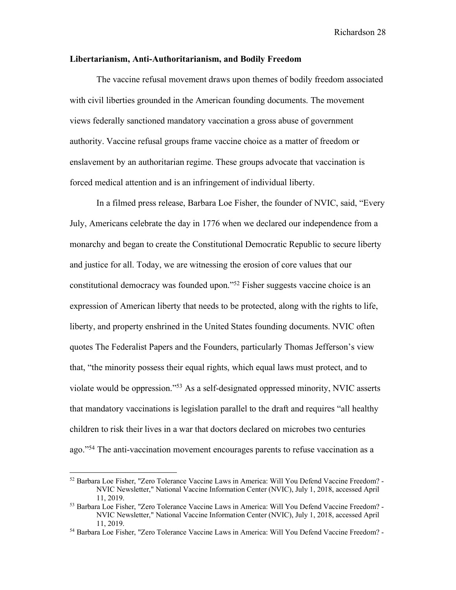#### **Libertarianism, Anti-Authoritarianism, and Bodily Freedom**

The vaccine refusal movement draws upon themes of bodily freedom associated with civil liberties grounded in the American founding documents. The movement views federally sanctioned mandatory vaccination a gross abuse of government authority. Vaccine refusal groups frame vaccine choice as a matter of freedom or enslavement by an authoritarian regime. These groups advocate that vaccination is forced medical attention and is an infringement of individual liberty.

In a filmed press release, Barbara Loe Fisher, the founder of NVIC, said, "Every July, Americans celebrate the day in 1776 when we declared our independence from a monarchy and began to create the Constitutional Democratic Republic to secure liberty and justice for all. Today, we are witnessing the erosion of core values that our constitutional democracy was founded upon."52 Fisher suggests vaccine choice is an expression of American liberty that needs to be protected, along with the rights to life, liberty, and property enshrined in the United States founding documents. NVIC often quotes The Federalist Papers and the Founders, particularly Thomas Jefferson's view that, "the minority possess their equal rights, which equal laws must protect, and to violate would be oppression."53 As a self-designated oppressed minority, NVIC asserts that mandatory vaccinations is legislation parallel to the draft and requires "all healthy children to risk their lives in a war that doctors declared on microbes two centuries ago."54 The anti-vaccination movement encourages parents to refuse vaccination as a

<sup>52</sup> Barbara Loe Fisher, "Zero Tolerance Vaccine Laws in America: Will You Defend Vaccine Freedom? - NVIC Newsletter," National Vaccine Information Center (NVIC), July 1, 2018, accessed April 11, 2019. 53 Barbara Loe Fisher, "Zero Tolerance Vaccine Laws in America: Will You Defend Vaccine Freedom? -

NVIC Newsletter," National Vaccine Information Center (NVIC), July 1, 2018, accessed April 11, 2019. 54 Barbara Loe Fisher, "Zero Tolerance Vaccine Laws in America: Will You Defend Vaccine Freedom? -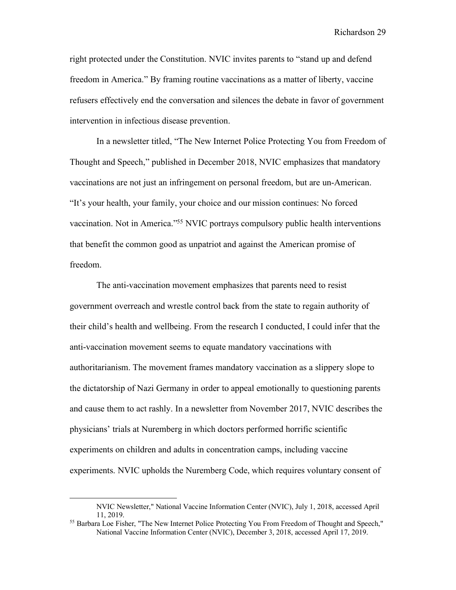right protected under the Constitution. NVIC invites parents to "stand up and defend freedom in America." By framing routine vaccinations as a matter of liberty, vaccine refusers effectively end the conversation and silences the debate in favor of government intervention in infectious disease prevention.

In a newsletter titled, "The New Internet Police Protecting You from Freedom of Thought and Speech," published in December 2018, NVIC emphasizes that mandatory vaccinations are not just an infringement on personal freedom, but are un-American. "It's your health, your family, your choice and our mission continues: No forced vaccination. Not in America."55 NVIC portrays compulsory public health interventions that benefit the common good as unpatriot and against the American promise of freedom.

The anti-vaccination movement emphasizes that parents need to resist government overreach and wrestle control back from the state to regain authority of their child's health and wellbeing. From the research I conducted, I could infer that the anti-vaccination movement seems to equate mandatory vaccinations with authoritarianism. The movement frames mandatory vaccination as a slippery slope to the dictatorship of Nazi Germany in order to appeal emotionally to questioning parents and cause them to act rashly. In a newsletter from November 2017, NVIC describes the physicians' trials at Nuremberg in which doctors performed horrific scientific experiments on children and adults in concentration camps, including vaccine experiments. NVIC upholds the Nuremberg Code, which requires voluntary consent of

NVIC Newsletter," National Vaccine Information Center (NVIC), July 1, 2018, accessed April 11, 2019.

<sup>&</sup>lt;sup>55</sup> Barbara Loe Fisher, "The New Internet Police Protecting You From Freedom of Thought and Speech," National Vaccine Information Center (NVIC), December 3, 2018, accessed April 17, 2019.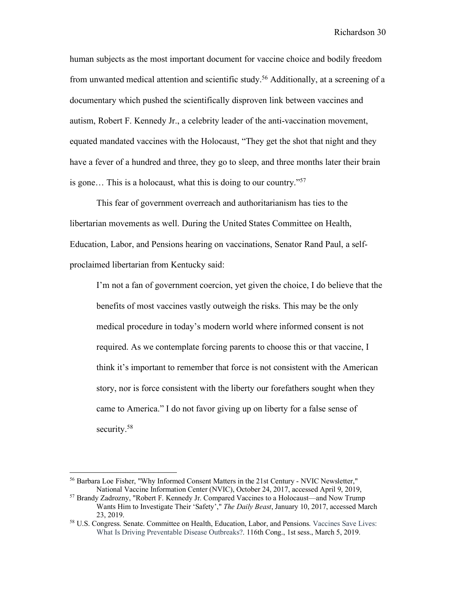human subjects as the most important document for vaccine choice and bodily freedom from unwanted medical attention and scientific study.<sup>56</sup> Additionally, at a screening of a documentary which pushed the scientifically disproven link between vaccines and autism, Robert F. Kennedy Jr., a celebrity leader of the anti-vaccination movement, equated mandated vaccines with the Holocaust, "They get the shot that night and they have a fever of a hundred and three, they go to sleep, and three months later their brain is gone… This is a holocaust, what this is doing to our country."57

This fear of government overreach and authoritarianism has ties to the libertarian movements as well. During the United States Committee on Health, Education, Labor, and Pensions hearing on vaccinations, Senator Rand Paul, a selfproclaimed libertarian from Kentucky said:

I'm not a fan of government coercion, yet given the choice, I do believe that the benefits of most vaccines vastly outweigh the risks. This may be the only medical procedure in today's modern world where informed consent is not required. As we contemplate forcing parents to choose this or that vaccine, I think it's important to remember that force is not consistent with the American story, nor is force consistent with the liberty our forefathers sought when they came to America." I do not favor giving up on liberty for a false sense of security.<sup>58</sup>

<sup>56</sup> Barbara Loe Fisher, "Why Informed Consent Matters in the 21st Century - NVIC Newsletter," National Vaccine Information Center (NVIC), October 24, 2017, accessed April 9, 2019, 57 Brandy Zadrozny, "Robert F. Kennedy Jr. Compared Vaccines to a Holocaust—and Now Trump

Wants Him to Investigate Their 'Safety'," *The Daily Beast*, January 10, 2017, accessed March 23, 2019.

<sup>58</sup> U.S. Congress. Senate. Committee on Health, Education, Labor, and Pensions. Vaccines Save Lives: What Is Driving Preventable Disease Outbreaks?. 116th Cong., 1st sess., March 5, 2019.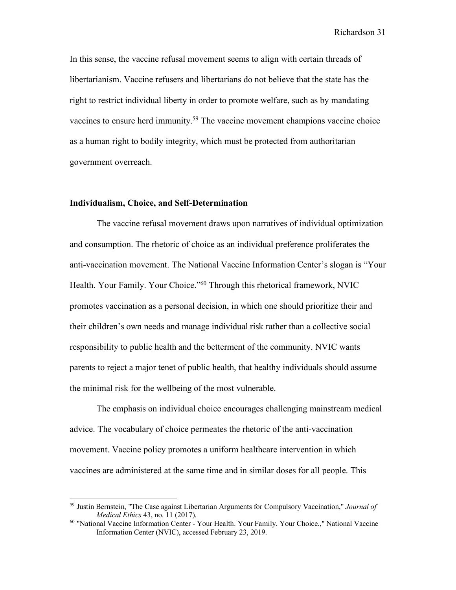In this sense, the vaccine refusal movement seems to align with certain threads of libertarianism. Vaccine refusers and libertarians do not believe that the state has the right to restrict individual liberty in order to promote welfare, such as by mandating vaccines to ensure herd immunity.<sup>59</sup> The vaccine movement champions vaccine choice as a human right to bodily integrity, which must be protected from authoritarian government overreach.

#### **Individualism, Choice, and Self-Determination**

 $\overline{a}$ 

The vaccine refusal movement draws upon narratives of individual optimization and consumption. The rhetoric of choice as an individual preference proliferates the anti-vaccination movement. The National Vaccine Information Center's slogan is "Your Health. Your Family. Your Choice."<sup>60</sup> Through this rhetorical framework, NVIC promotes vaccination as a personal decision, in which one should prioritize their and their children's own needs and manage individual risk rather than a collective social responsibility to public health and the betterment of the community. NVIC wants parents to reject a major tenet of public health, that healthy individuals should assume the minimal risk for the wellbeing of the most vulnerable.

The emphasis on individual choice encourages challenging mainstream medical advice. The vocabulary of choice permeates the rhetoric of the anti-vaccination movement. Vaccine policy promotes a uniform healthcare intervention in which vaccines are administered at the same time and in similar doses for all people. This

<sup>59</sup> Justin Bernstein, "The Case against Libertarian Arguments for Compulsory Vaccination," *Journal of Medical Ethics* 43, no. 11 (2017).

<sup>&</sup>lt;sup>60</sup> "National Vaccine Information Center - Your Health. Your Family. Your Choice.," National Vaccine Information Center (NVIC), accessed February 23, 2019.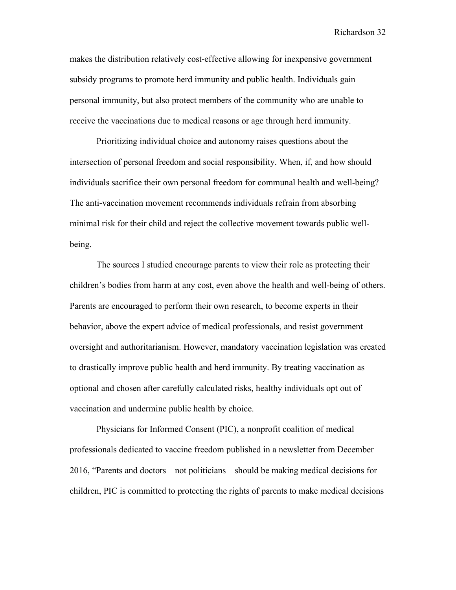makes the distribution relatively cost-effective allowing for inexpensive government subsidy programs to promote herd immunity and public health. Individuals gain personal immunity, but also protect members of the community who are unable to receive the vaccinations due to medical reasons or age through herd immunity.

Prioritizing individual choice and autonomy raises questions about the intersection of personal freedom and social responsibility. When, if, and how should individuals sacrifice their own personal freedom for communal health and well-being? The anti-vaccination movement recommends individuals refrain from absorbing minimal risk for their child and reject the collective movement towards public wellbeing.

The sources I studied encourage parents to view their role as protecting their children's bodies from harm at any cost, even above the health and well-being of others. Parents are encouraged to perform their own research, to become experts in their behavior, above the expert advice of medical professionals, and resist government oversight and authoritarianism. However, mandatory vaccination legislation was created to drastically improve public health and herd immunity. By treating vaccination as optional and chosen after carefully calculated risks, healthy individuals opt out of vaccination and undermine public health by choice.

Physicians for Informed Consent (PIC), a nonprofit coalition of medical professionals dedicated to vaccine freedom published in a newsletter from December 2016, "Parents and doctors—not politicians—should be making medical decisions for children, PIC is committed to protecting the rights of parents to make medical decisions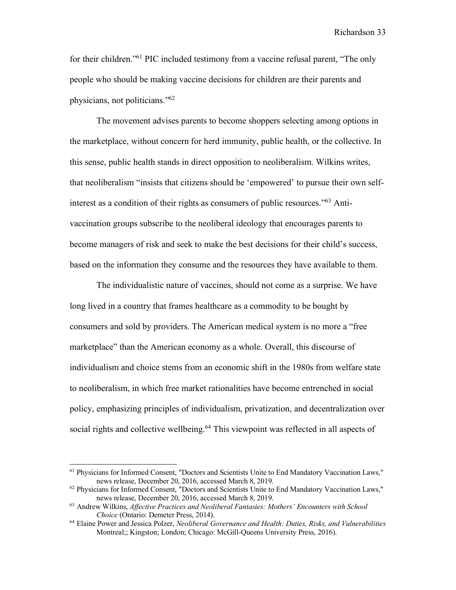for their children."61 PIC included testimony from a vaccine refusal parent, "The only people who should be making vaccine decisions for children are their parents and physicians, not politicians."62

The movement advises parents to become shoppers selecting among options in the marketplace, without concern for herd immunity, public health, or the collective. In this sense, public health stands in direct opposition to neoliberalism. Wilkins writes, that neoliberalism "insists that citizens should be 'empowered' to pursue their own selfinterest as a condition of their rights as consumers of public resources."63 Antivaccination groups subscribe to the neoliberal ideology that encourages parents to become managers of risk and seek to make the best decisions for their child's success, based on the information they consume and the resources they have available to them.

The individualistic nature of vaccines, should not come as a surprise. We have long lived in a country that frames healthcare as a commodity to be bought by consumers and sold by providers. The American medical system is no more a "free marketplace" than the American economy as a whole. Overall, this discourse of individualism and choice stems from an economic shift in the 1980s from welfare state to neoliberalism, in which free market rationalities have become entrenched in social policy, emphasizing principles of individualism, privatization, and decentralization over social rights and collective wellbeing.<sup>64</sup> This viewpoint was reflected in all aspects of

<sup>61</sup> Physicians for Informed Consent, "Doctors and Scientists Unite to End Mandatory Vaccination Laws," news release, December 20, 2016, accessed March 8, 2019.

<sup>62</sup> Physicians for Informed Consent, "Doctors and Scientists Unite to End Mandatory Vaccination Laws," news release, December 20, 2016, accessed March 8, 2019.

<sup>63</sup> Andrew Wilkins, *Affective Practices and Neoliberal Fantasies: Mothers' Encounters with School Choice* (Ontario: Demeter Press, 2014).

<sup>64</sup> Elaine Power and Jessica Polzer, *Neoliberal Governance and Health: Duties, Risks, and Vulnerabilities* Montreal;; Kingston; London; Chicago: McGill-Queens University Press, 2016).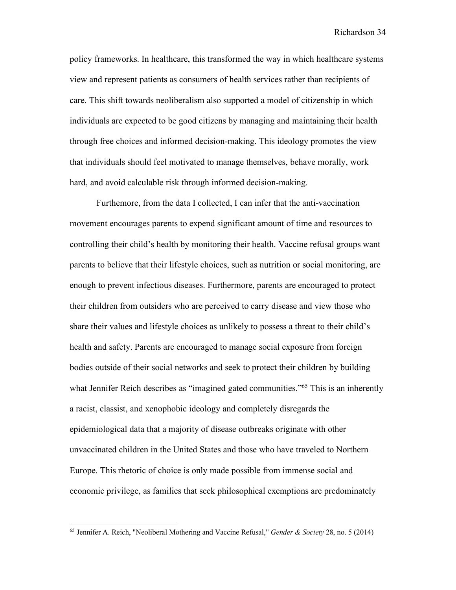policy frameworks. In healthcare, this transformed the way in which healthcare systems view and represent patients as consumers of health services rather than recipients of care. This shift towards neoliberalism also supported a model of citizenship in which individuals are expected to be good citizens by managing and maintaining their health through free choices and informed decision-making. This ideology promotes the view that individuals should feel motivated to manage themselves, behave morally, work hard, and avoid calculable risk through informed decision-making.

Furthemore, from the data I collected, I can infer that the anti-vaccination movement encourages parents to expend significant amount of time and resources to controlling their child's health by monitoring their health. Vaccine refusal groups want parents to believe that their lifestyle choices, such as nutrition or social monitoring, are enough to prevent infectious diseases. Furthermore, parents are encouraged to protect their children from outsiders who are perceived to carry disease and view those who share their values and lifestyle choices as unlikely to possess a threat to their child's health and safety. Parents are encouraged to manage social exposure from foreign bodies outside of their social networks and seek to protect their children by building what Jennifer Reich describes as "imagined gated communities."<sup>65</sup> This is an inherently a racist, classist, and xenophobic ideology and completely disregards the epidemiological data that a majority of disease outbreaks originate with other unvaccinated children in the United States and those who have traveled to Northern Europe. This rhetoric of choice is only made possible from immense social and economic privilege, as families that seek philosophical exemptions are predominately

<sup>65</sup> Jennifer A. Reich, "Neoliberal Mothering and Vaccine Refusal," *Gender & Society* 28, no. 5 (2014)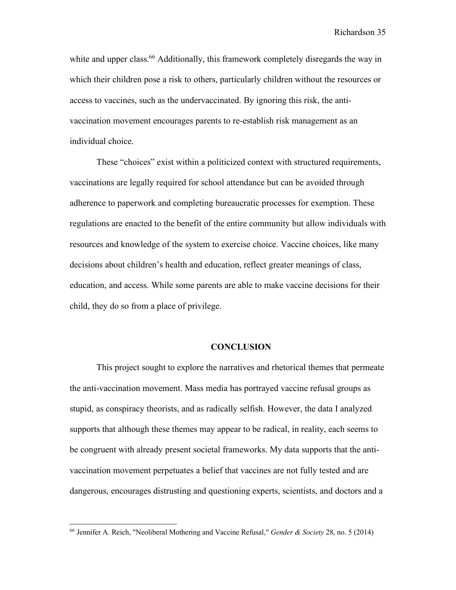white and upper class.<sup>66</sup> Additionally, this framework completely disregards the way in which their children pose a risk to others, particularly children without the resources or access to vaccines, such as the undervaccinated. By ignoring this risk, the antivaccination movement encourages parents to re-establish risk management as an individual choice.

These "choices" exist within a politicized context with structured requirements, vaccinations are legally required for school attendance but can be avoided through adherence to paperwork and completing bureaucratic processes for exemption. These regulations are enacted to the benefit of the entire community but allow individuals with resources and knowledge of the system to exercise choice. Vaccine choices, like many decisions about children's health and education, reflect greater meanings of class, education, and access. While some parents are able to make vaccine decisions for their child, they do so from a place of privilege.

#### **CONCLUSION**

This project sought to explore the narratives and rhetorical themes that permeate the anti-vaccination movement. Mass media has portrayed vaccine refusal groups as stupid, as conspiracy theorists, and as radically selfish. However, the data I analyzed supports that although these themes may appear to be radical, in reality, each seems to be congruent with already present societal frameworks. My data supports that the antivaccination movement perpetuates a belief that vaccines are not fully tested and are dangerous, encourages distrusting and questioning experts, scientists, and doctors and a

<sup>66</sup> Jennifer A. Reich, "Neoliberal Mothering and Vaccine Refusal," *Gender & Society* 28, no. 5 (2014)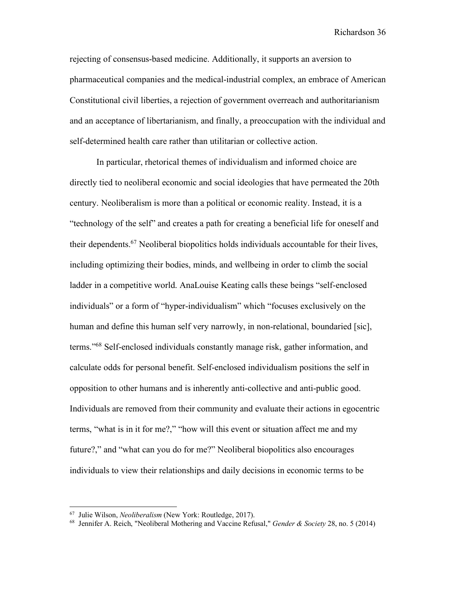rejecting of consensus-based medicine. Additionally, it supports an aversion to pharmaceutical companies and the medical-industrial complex, an embrace of American Constitutional civil liberties, a rejection of government overreach and authoritarianism and an acceptance of libertarianism, and finally, a preoccupation with the individual and self-determined health care rather than utilitarian or collective action.

In particular, rhetorical themes of individualism and informed choice are directly tied to neoliberal economic and social ideologies that have permeated the 20th century. Neoliberalism is more than a political or economic reality. Instead, it is a "technology of the self" and creates a path for creating a beneficial life for oneself and their dependents.67 Neoliberal biopolitics holds individuals accountable for their lives, including optimizing their bodies, minds, and wellbeing in order to climb the social ladder in a competitive world. AnaLouise Keating calls these beings "self-enclosed individuals" or a form of "hyper-individualism" which "focuses exclusively on the human and define this human self very narrowly, in non-relational, boundaried [sic], terms."68 Self-enclosed individuals constantly manage risk, gather information, and calculate odds for personal benefit. Self-enclosed individualism positions the self in opposition to other humans and is inherently anti-collective and anti-public good. Individuals are removed from their community and evaluate their actions in egocentric terms, "what is in it for me?," "how will this event or situation affect me and my future?," and "what can you do for me?" Neoliberal biopolitics also encourages individuals to view their relationships and daily decisions in economic terms to be

<sup>67</sup> Julie Wilson, *Neoliberalism* (New York: Routledge, 2017).

<sup>68</sup> Jennifer A. Reich, "Neoliberal Mothering and Vaccine Refusal," *Gender & Society* 28, no. 5 (2014)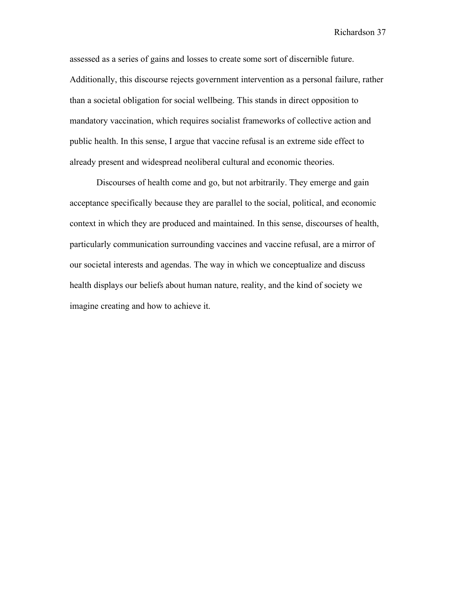assessed as a series of gains and losses to create some sort of discernible future. Additionally, this discourse rejects government intervention as a personal failure, rather than a societal obligation for social wellbeing. This stands in direct opposition to mandatory vaccination, which requires socialist frameworks of collective action and public health. In this sense, I argue that vaccine refusal is an extreme side effect to already present and widespread neoliberal cultural and economic theories.

Discourses of health come and go, but not arbitrarily. They emerge and gain acceptance specifically because they are parallel to the social, political, and economic context in which they are produced and maintained. In this sense, discourses of health, particularly communication surrounding vaccines and vaccine refusal, are a mirror of our societal interests and agendas. The way in which we conceptualize and discuss health displays our beliefs about human nature, reality, and the kind of society we imagine creating and how to achieve it.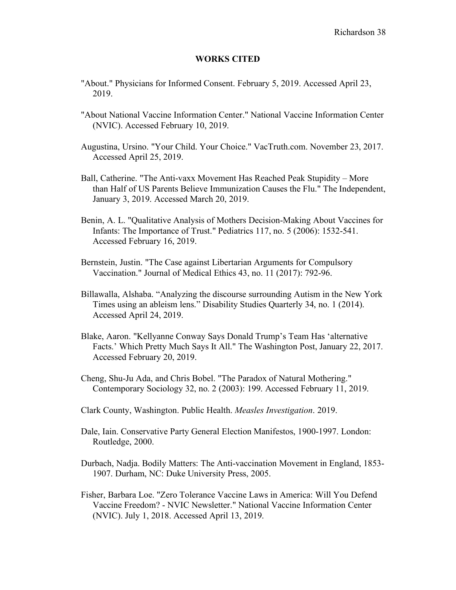#### **WORKS CITED**

- "About." Physicians for Informed Consent. February 5, 2019. Accessed April 23, 2019.
- "About National Vaccine Information Center." National Vaccine Information Center (NVIC). Accessed February 10, 2019.
- Augustina, Ursino. "Your Child. Your Choice." VacTruth.com. November 23, 2017. Accessed April 25, 2019.
- Ball, Catherine. "The Anti-vaxx Movement Has Reached Peak Stupidity More than Half of US Parents Believe Immunization Causes the Flu." The Independent, January 3, 2019. Accessed March 20, 2019.
- Benin, A. L. "Qualitative Analysis of Mothers Decision-Making About Vaccines for Infants: The Importance of Trust." Pediatrics 117, no. 5 (2006): 1532-541. Accessed February 16, 2019.
- Bernstein, Justin. "The Case against Libertarian Arguments for Compulsory Vaccination." Journal of Medical Ethics 43, no. 11 (2017): 792-96.
- Billawalla, Alshaba. "Analyzing the discourse surrounding Autism in the New York Times using an ableism lens." Disability Studies Quarterly 34, no. 1 (2014). Accessed April 24, 2019.
- Blake, Aaron. "Kellyanne Conway Says Donald Trump's Team Has 'alternative Facts.' Which Pretty Much Says It All." The Washington Post, January 22, 2017. Accessed February 20, 2019.
- Cheng, Shu-Ju Ada, and Chris Bobel. "The Paradox of Natural Mothering." Contemporary Sociology 32, no. 2 (2003): 199. Accessed February 11, 2019.
- Clark County, Washington. Public Health. *Measles Investigation*. 2019.
- Dale, Iain. Conservative Party General Election Manifestos, 1900-1997. London: Routledge, 2000.
- Durbach, Nadja. Bodily Matters: The Anti-vaccination Movement in England, 1853- 1907. Durham, NC: Duke University Press, 2005.
- Fisher, Barbara Loe. "Zero Tolerance Vaccine Laws in America: Will You Defend Vaccine Freedom? - NVIC Newsletter." National Vaccine Information Center (NVIC). July 1, 2018. Accessed April 13, 2019.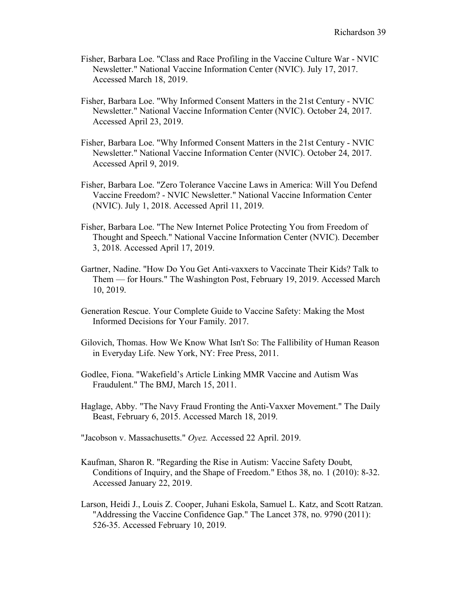- Fisher, Barbara Loe. "Class and Race Profiling in the Vaccine Culture War NVIC Newsletter." National Vaccine Information Center (NVIC). July 17, 2017. Accessed March 18, 2019.
- Fisher, Barbara Loe. "Why Informed Consent Matters in the 21st Century NVIC Newsletter." National Vaccine Information Center (NVIC). October 24, 2017. Accessed April 23, 2019.
- Fisher, Barbara Loe. "Why Informed Consent Matters in the 21st Century NVIC Newsletter." National Vaccine Information Center (NVIC). October 24, 2017. Accessed April 9, 2019.
- Fisher, Barbara Loe. "Zero Tolerance Vaccine Laws in America: Will You Defend Vaccine Freedom? - NVIC Newsletter." National Vaccine Information Center (NVIC). July 1, 2018. Accessed April 11, 2019.
- Fisher, Barbara Loe. "The New Internet Police Protecting You from Freedom of Thought and Speech." National Vaccine Information Center (NVIC). December 3, 2018. Accessed April 17, 2019.
- Gartner, Nadine. "How Do You Get Anti-vaxxers to Vaccinate Their Kids? Talk to Them — for Hours." The Washington Post, February 19, 2019. Accessed March 10, 2019.
- Generation Rescue. Your Complete Guide to Vaccine Safety: Making the Most Informed Decisions for Your Family. 2017.
- Gilovich, Thomas. How We Know What Isn't So: The Fallibility of Human Reason in Everyday Life. New York, NY: Free Press, 2011.
- Godlee, Fiona. "Wakefield's Article Linking MMR Vaccine and Autism Was Fraudulent." The BMJ, March 15, 2011.
- Haglage, Abby. "The Navy Fraud Fronting the Anti-Vaxxer Movement." The Daily Beast, February 6, 2015. Accessed March 18, 2019.
- "Jacobson v. Massachusetts." *Oyez.* Accessed 22 April. 2019.
- Kaufman, Sharon R. "Regarding the Rise in Autism: Vaccine Safety Doubt, Conditions of Inquiry, and the Shape of Freedom." Ethos 38, no. 1 (2010): 8-32. Accessed January 22, 2019.
- Larson, Heidi J., Louis Z. Cooper, Juhani Eskola, Samuel L. Katz, and Scott Ratzan. "Addressing the Vaccine Confidence Gap." The Lancet 378, no. 9790 (2011): 526-35. Accessed February 10, 2019.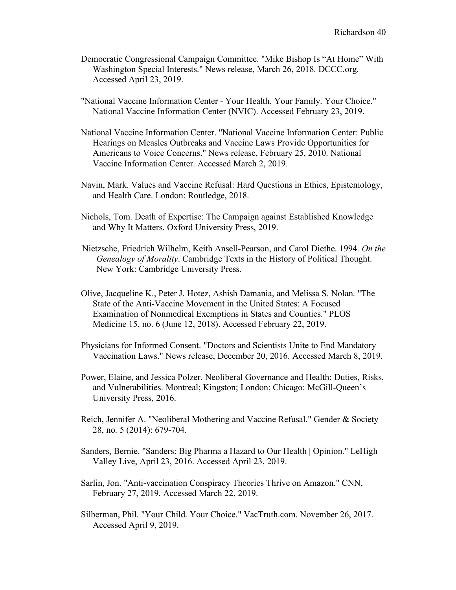- Democratic Congressional Campaign Committee. "Mike Bishop Is "At Home" With Washington Special Interests." News release, March 26, 2018. DCCC.org. Accessed April 23, 2019.
- "National Vaccine Information Center Your Health. Your Family. Your Choice." National Vaccine Information Center (NVIC). Accessed February 23, 2019.
- National Vaccine Information Center. "National Vaccine Information Center: Public Hearings on Measles Outbreaks and Vaccine Laws Provide Opportunities for Americans to Voice Concerns." News release, February 25, 2010. National Vaccine Information Center. Accessed March 2, 2019.
- Navin, Mark. Values and Vaccine Refusal: Hard Questions in Ethics, Epistemology, and Health Care. London: Routledge, 2018.
- Nichols, Tom. Death of Expertise: The Campaign against Established Knowledge and Why It Matters. Oxford University Press, 2019.
- Nietzsche, Friedrich Wilhelm, Keith Ansell-Pearson, and Carol Diethe. 1994. *On the Genealogy of Morality*. Cambridge Texts in the History of Political Thought. New York: Cambridge University Press.
- Olive, Jacqueline K., Peter J. Hotez, Ashish Damania, and Melissa S. Nolan. "The State of the Anti-Vaccine Movement in the United States: A Focused Examination of Nonmedical Exemptions in States and Counties." PLOS Medicine 15, no. 6 (June 12, 2018). Accessed February 22, 2019.
- Physicians for Informed Consent. "Doctors and Scientists Unite to End Mandatory Vaccination Laws." News release, December 20, 2016. Accessed March 8, 2019.
- Power, Elaine, and Jessica Polzer. Neoliberal Governance and Health: Duties, Risks, and Vulnerabilities. Montreal; Kingston; London; Chicago: McGill-Queen's University Press, 2016.
- Reich, Jennifer A. "Neoliberal Mothering and Vaccine Refusal." Gender & Society 28, no. 5 (2014): 679-704.
- Sanders, Bernie. "Sanders: Big Pharma a Hazard to Our Health | Opinion." LeHigh Valley Live, April 23, 2016. Accessed April 23, 2019.
- Sarlin, Jon. "Anti-vaccination Conspiracy Theories Thrive on Amazon." CNN, February 27, 2019. Accessed March 22, 2019.
- Silberman, Phil. "Your Child. Your Choice." VacTruth.com. November 26, 2017. Accessed April 9, 2019.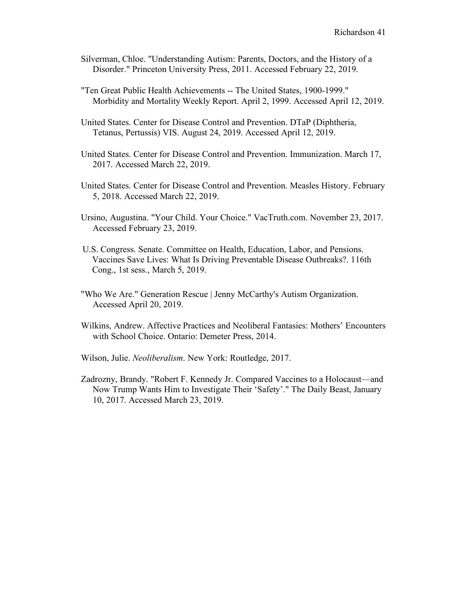- Silverman, Chloe. "Understanding Autism: Parents, Doctors, and the History of a Disorder." Princeton University Press, 2011. Accessed February 22, 2019.
- "Ten Great Public Health Achievements -- The United States, 1900-1999." Morbidity and Mortality Weekly Report. April 2, 1999. Accessed April 12, 2019.
- United States. Center for Disease Control and Prevention. DTaP (Diphtheria, Tetanus, Pertussis) VIS. August 24, 2019. Accessed April 12, 2019.
- United States. Center for Disease Control and Prevention. Immunization. March 17, 2017. Accessed March 22, 2019.
- United States. Center for Disease Control and Prevention. Measles History. February 5, 2018. Accessed March 22, 2019.
- Ursino, Augustina. "Your Child. Your Choice." VacTruth.com. November 23, 2017. Accessed February 23, 2019.
- U.S. Congress. Senate. Committee on Health, Education, Labor, and Pensions. Vaccines Save Lives: What Is Driving Preventable Disease Outbreaks?. 116th Cong., 1st sess., March 5, 2019.
- "Who We Are." Generation Rescue | Jenny McCarthy's Autism Organization. Accessed April 20, 2019.
- Wilkins, Andrew. Affective Practices and Neoliberal Fantasies: Mothers' Encounters with School Choice. Ontario: Demeter Press, 2014.
- Wilson, Julie. *Neoliberalism*. New York: Routledge, 2017.
- Zadrozny, Brandy. "Robert F. Kennedy Jr. Compared Vaccines to a Holocaust—and Now Trump Wants Him to Investigate Their 'Safety'." The Daily Beast, January 10, 2017. Accessed March 23, 2019.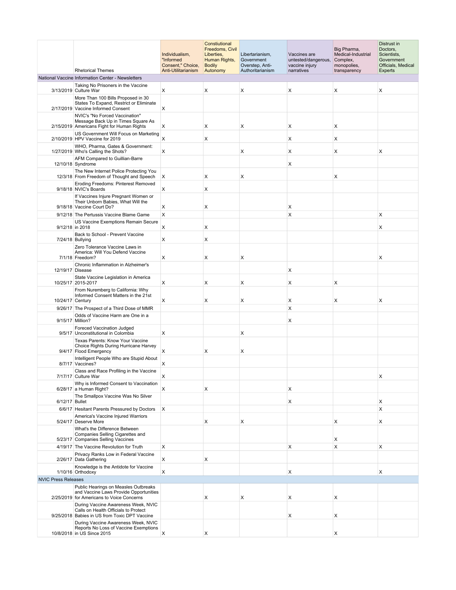|                            | <b>Rhetorical Themes</b>                                                                                                     | Individualism,<br>"Informed<br>Consent," Choice,<br>Anti-Utilitarianism | Constiutional<br>Freedoms, Civil<br>Liberties,<br>Human Rights,<br><b>Bodily</b><br>Autonomy | Libertarianism,<br>Government<br>Overstep, Anti-<br>Authoritarianism | Vaccines are<br>untested/dangerous,<br>vaccine injury<br>narratives | Big Pharma,<br>Medical-Industrial<br>Complex,<br>monopolies,<br>transparency | Distrust in<br>Doctors,<br>Scientists,<br>Government<br>Officials, Medical<br><b>Experts</b> |
|----------------------------|------------------------------------------------------------------------------------------------------------------------------|-------------------------------------------------------------------------|----------------------------------------------------------------------------------------------|----------------------------------------------------------------------|---------------------------------------------------------------------|------------------------------------------------------------------------------|----------------------------------------------------------------------------------------------|
|                            | National Vaccine Information Center - Newsletters                                                                            |                                                                         |                                                                                              |                                                                      |                                                                     |                                                                              |                                                                                              |
|                            | Taking No Prisoners in the Vaccine                                                                                           |                                                                         |                                                                                              |                                                                      |                                                                     |                                                                              |                                                                                              |
|                            | 3/13/2019 Culture War                                                                                                        | X                                                                       | X                                                                                            | X                                                                    | X                                                                   | X                                                                            | X                                                                                            |
|                            | More Than 100 Bills Proposed in 30<br>States To Expand, Restrict or Eliminate<br>2/17/2019 Vaccine Informed Consent          | X                                                                       |                                                                                              |                                                                      |                                                                     |                                                                              |                                                                                              |
|                            | NVIC's "No Forced Vaccination"                                                                                               |                                                                         |                                                                                              |                                                                      |                                                                     |                                                                              |                                                                                              |
|                            | Message Back Up in Times Square As<br>2/15/2019 Americans Fight for Human Rights                                             | X                                                                       | X                                                                                            | X                                                                    | Х                                                                   | $\mathsf{x}$                                                                 |                                                                                              |
|                            | US Government Will Focus on Marketing<br>2/10/2019 HPV Vaccine for 2019                                                      | х                                                                       | X                                                                                            |                                                                      | Х                                                                   | $\mathsf{X}$                                                                 |                                                                                              |
|                            | WHO, Pharma, Gates & Government:<br>1/27/2019 Who's Calling the Shots?                                                       | X                                                                       |                                                                                              | X                                                                    | X                                                                   | X                                                                            | X                                                                                            |
|                            | AFM Compared to Guillian-Barre                                                                                               |                                                                         |                                                                                              |                                                                      | X                                                                   |                                                                              |                                                                                              |
|                            | 12/10/18 Syndrome<br>The New Internet Police Protecting You                                                                  |                                                                         |                                                                                              |                                                                      |                                                                     |                                                                              |                                                                                              |
|                            | 12/3/18 From Freedom of Thought and Speech                                                                                   | $\mathsf{X}$                                                            | х                                                                                            | X                                                                    |                                                                     | X                                                                            |                                                                                              |
|                            | Eroding Freedoms: Pinterest Removed<br>9/18/18 NVIC's Boards                                                                 | х                                                                       | х                                                                                            |                                                                      |                                                                     |                                                                              |                                                                                              |
|                            | If Vaccines Injure Pregnant Women or<br>Their Unborn Babies, What Will the                                                   |                                                                         |                                                                                              |                                                                      |                                                                     |                                                                              |                                                                                              |
|                            | 9/18/18 Vaccine Court Do?                                                                                                    | х                                                                       | х                                                                                            |                                                                      | х                                                                   |                                                                              |                                                                                              |
|                            | 9/12/18 The Pertussis Vaccine Blame Game                                                                                     | X                                                                       |                                                                                              |                                                                      | X                                                                   |                                                                              | X                                                                                            |
|                            | US Vaccine Exemptions Remain Secure<br>9/12/18 in 2018                                                                       | х                                                                       | х                                                                                            |                                                                      |                                                                     |                                                                              | Х                                                                                            |
|                            | Back to School - Prevent Vaccine<br>7/24/18 Bullying                                                                         | X                                                                       | X                                                                                            |                                                                      |                                                                     |                                                                              |                                                                                              |
|                            | Zero Tolerance Vaccine Laws in<br>America: Will You Defend Vaccine<br>7/1/18 Freedom?                                        | X                                                                       | X                                                                                            | X                                                                    |                                                                     |                                                                              | X                                                                                            |
|                            | Chronic Inflammation in Alzheimer's                                                                                          |                                                                         |                                                                                              |                                                                      |                                                                     |                                                                              |                                                                                              |
| 12/19/17 Disease           |                                                                                                                              |                                                                         |                                                                                              |                                                                      | х                                                                   |                                                                              |                                                                                              |
|                            | State Vaccine Legislation in America<br>10/25/17 2015-2017<br>From Nuremberg to California: Why                              | X                                                                       | X                                                                                            | X                                                                    | X                                                                   | X                                                                            |                                                                                              |
| 10/24/17 Century           | Informed Consent Matters in the 21st                                                                                         | X                                                                       | X                                                                                            | X                                                                    | Х                                                                   | X                                                                            | X                                                                                            |
|                            | 9/26/17 The Prospect of a Third Dose of MMR                                                                                  |                                                                         |                                                                                              |                                                                      | X                                                                   |                                                                              |                                                                                              |
|                            | Odds of Vaccine Harm are One in a                                                                                            |                                                                         |                                                                                              |                                                                      |                                                                     |                                                                              |                                                                                              |
|                            | 9/15/17 Million?                                                                                                             |                                                                         |                                                                                              |                                                                      | х                                                                   |                                                                              |                                                                                              |
|                            | Foreced Vaccination Judged<br>9/5/17 Unconstitutional in Colombia                                                            | Х                                                                       |                                                                                              | X                                                                    |                                                                     |                                                                              |                                                                                              |
|                            | Texas Parents: Know Your Vaccine<br>Choice Rights During Hurricane Harvey<br>9/4/17 Flood Emergency                          | X                                                                       | X                                                                                            | X                                                                    |                                                                     |                                                                              |                                                                                              |
|                            | Intelligent People Who are Stupid About                                                                                      |                                                                         |                                                                                              |                                                                      |                                                                     |                                                                              |                                                                                              |
|                            | 8/7/17 Vaccines?<br>Class and Race Profiling in the Vaccine                                                                  | х                                                                       |                                                                                              |                                                                      |                                                                     |                                                                              |                                                                                              |
|                            | 7/17/17 Culture War                                                                                                          | X                                                                       |                                                                                              |                                                                      |                                                                     |                                                                              | X                                                                                            |
|                            | Why is Informed Consent to Vaccination<br>6/28/17 a Human Right?<br>The Smallpox Vaccine Was No Silver                       | X                                                                       | х                                                                                            |                                                                      | X                                                                   |                                                                              |                                                                                              |
| 6/12/17 Bullet             |                                                                                                                              |                                                                         |                                                                                              |                                                                      | х                                                                   |                                                                              | X                                                                                            |
|                            | 6/6/17 Hesitant Parents Pressured by Doctors                                                                                 | <sup>X</sup>                                                            |                                                                                              |                                                                      |                                                                     |                                                                              | X                                                                                            |
|                            | America's Vaccine Injured Warriors<br>5/24/17 Deserve More                                                                   |                                                                         | X                                                                                            | X                                                                    |                                                                     | X                                                                            | X                                                                                            |
|                            | What's the Difference Between<br>Companies Selling Cigarettes and<br>5/23/17 Companies Selling Vaccines                      |                                                                         |                                                                                              |                                                                      |                                                                     | X                                                                            |                                                                                              |
|                            | 4/19/17 The Vaccine Revolution for Truth                                                                                     | Χ                                                                       |                                                                                              |                                                                      | X                                                                   | X                                                                            | X                                                                                            |
|                            | Privacy Ranks Low in Federal Vaccine<br>2/26/17 Data Gathering                                                               | X                                                                       | х                                                                                            |                                                                      |                                                                     |                                                                              |                                                                                              |
|                            | Knowledge is the Antidote for Vaccine                                                                                        |                                                                         |                                                                                              |                                                                      |                                                                     |                                                                              |                                                                                              |
|                            | 1/10/16 Orthodoxy                                                                                                            | Χ                                                                       |                                                                                              |                                                                      | X                                                                   |                                                                              | X                                                                                            |
| <b>NVIC Press Releases</b> | Public Hearings on Measles Outbreaks                                                                                         |                                                                         |                                                                                              |                                                                      |                                                                     |                                                                              |                                                                                              |
|                            | and Vaccine Laws Provide Opportunities<br>2/25/2019 for Americans to Voice Concerns                                          |                                                                         | х                                                                                            | Χ                                                                    | х                                                                   | X                                                                            |                                                                                              |
|                            | During Vaccine Awareness Week, NVIC<br>Calls on Health Officials to Protect<br>9/25/2018 Babies in US from Toxic DPT Vaccine |                                                                         |                                                                                              |                                                                      | х                                                                   | X                                                                            |                                                                                              |
|                            | During Vaccine Awareness Week, NVIC<br>Reports No Loss of Vaccine Exemptions<br>10/8/2018 in US Since 2015                   | X                                                                       | X                                                                                            |                                                                      |                                                                     | X                                                                            |                                                                                              |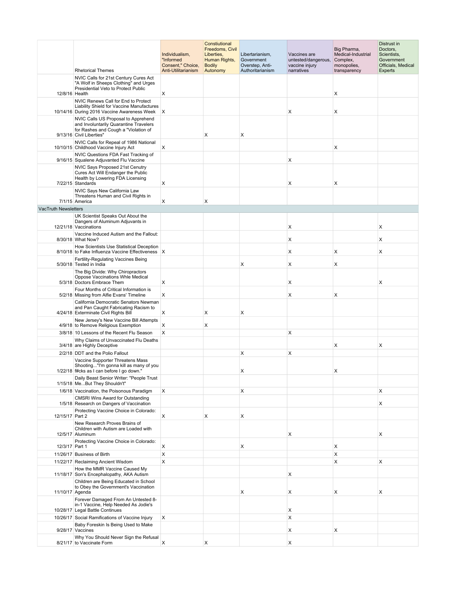|                      | <b>Rhetorical Themes</b>                                                                                                                                                  | Individualism,<br>"Informed<br>Consent," Choice,<br>Anti-Utilitarianism | Constiutional<br>Freedoms, Civil<br>Liberties,<br>Human Rights,<br><b>Bodily</b><br>Autonomy | Libertarianism,<br>Government<br>Overstep, Anti-<br>Authoritarianism | Vaccines are<br>untested/dangerous,<br>vaccine injury<br>narratives | Big Pharma,<br>Medical-Industrial<br>Complex,<br>monopolies,<br>transparency | Distrust in<br>Doctors,<br>Scientists,<br>Government<br>Officials, Medical<br>Experts |
|----------------------|---------------------------------------------------------------------------------------------------------------------------------------------------------------------------|-------------------------------------------------------------------------|----------------------------------------------------------------------------------------------|----------------------------------------------------------------------|---------------------------------------------------------------------|------------------------------------------------------------------------------|---------------------------------------------------------------------------------------|
|                      | NVIC Calls for 21st Century Cures Act                                                                                                                                     |                                                                         |                                                                                              |                                                                      |                                                                     |                                                                              |                                                                                       |
| 12/8/16 Health       | "A Wolf in Sheeps Clothing" and Urges<br>Presidential Veto to Protect Public                                                                                              | Х                                                                       |                                                                                              |                                                                      |                                                                     | х                                                                            |                                                                                       |
|                      | NVIC Renews Call for End to Protect<br>Liability Shield for Vaccine Manufactures<br>10/14/16 During 2016 Vaccine Awareness Week X                                         |                                                                         |                                                                                              |                                                                      | Х                                                                   | X                                                                            |                                                                                       |
|                      | NVIC Calls US Proposal to Apprehend<br>and Involuntarily Quarantine Travelers<br>for Rashes and Cough a "Violation of<br>9/13/16 Civil Liberties"                         |                                                                         | X                                                                                            | Х                                                                    |                                                                     |                                                                              |                                                                                       |
|                      | NVIC Calls for Repeal of 1986 National<br>10/10/15 Childhood Vaccine Injury Act                                                                                           | X                                                                       |                                                                                              |                                                                      |                                                                     | X                                                                            |                                                                                       |
|                      | NVIC Questions FDA Fast Tracking of                                                                                                                                       |                                                                         |                                                                                              |                                                                      |                                                                     |                                                                              |                                                                                       |
|                      | 9/16/15 Squalene Adjuvanted Flu Vaccine<br>NVIC Says Proposed 21st Cenutry<br>Cures Act Will Endanger the Public<br>Health by Lowering FDA Licensing<br>7/22/15 Standards | Χ                                                                       |                                                                                              |                                                                      | х<br>Х                                                              | Х                                                                            |                                                                                       |
|                      | NVIC Says New California Law<br>Threatens Human and Civil Rights in<br>7/1/15 America                                                                                     | Χ                                                                       | X                                                                                            |                                                                      |                                                                     |                                                                              |                                                                                       |
| VacTruth Newsletters |                                                                                                                                                                           |                                                                         |                                                                                              |                                                                      |                                                                     |                                                                              |                                                                                       |
|                      | UK Scientist Speaks Out About the<br>Dangers of Aluminum Adjuvants in<br>12/21/18 Vaccinations                                                                            |                                                                         |                                                                                              |                                                                      | х                                                                   |                                                                              | Х                                                                                     |
|                      | Vaccine Induced Autism and the Fallout:<br>8/30/18 What Now?                                                                                                              |                                                                         |                                                                                              |                                                                      | х                                                                   |                                                                              | Х                                                                                     |
|                      | How Scientists Use Statistical Deception<br>8/10/18 to Fake Influenza Vaccine Effectiveness X                                                                             |                                                                         |                                                                                              |                                                                      | Х                                                                   | Х                                                                            | Χ                                                                                     |
|                      | Fertility-Regulating Vaccines Being<br>5/30/18 Tested in India                                                                                                            |                                                                         |                                                                                              | X                                                                    | X                                                                   | X                                                                            |                                                                                       |
|                      | The Big Divide: Why Chiropractors<br>Oppose Vaccinations Whle Medical<br>5/3/18 Doctors Embrace Them                                                                      | X                                                                       |                                                                                              |                                                                      | X                                                                   |                                                                              | X                                                                                     |
|                      | Four Months of Critical Information is<br>5/2/18 Missing from Alfie Evans' Timeline                                                                                       | X                                                                       |                                                                                              |                                                                      | X                                                                   | X                                                                            |                                                                                       |
|                      | California Democratic Senators Newman<br>and Pan Caught Fabricating Racism to<br>4/24/18 Exterminate Civil Rights Bill                                                    | X                                                                       | х                                                                                            | Х                                                                    |                                                                     |                                                                              |                                                                                       |
|                      | New Jersey's New Vaccine Bill Attempts<br>4/9/18 to Remove Religious Exemption                                                                                            | Χ                                                                       | X                                                                                            |                                                                      |                                                                     |                                                                              |                                                                                       |
|                      | 3/8/18 10 Lessons of the Recent Flu Season                                                                                                                                | X                                                                       |                                                                                              |                                                                      | X                                                                   |                                                                              |                                                                                       |
|                      | Why Claims of Unvaccinated Flu Deaths<br>3/4/18 are Highly Deceptive                                                                                                      |                                                                         |                                                                                              |                                                                      |                                                                     | х                                                                            | X                                                                                     |
|                      | 2/2/18 DDT and the Polio Fallout                                                                                                                                          |                                                                         |                                                                                              | Х                                                                    | х                                                                   |                                                                              |                                                                                       |
|                      | Vaccine Supporter Threatens Mass<br>Shooting"I'm gonna kill as many of you<br>1/22/18 f#cks as I can before I go down."                                                   |                                                                         |                                                                                              | X                                                                    |                                                                     | X                                                                            |                                                                                       |
|                      | Daily Beast Senior Writer: "People Trust<br>1/15/18 MeBut They Shouldn't"                                                                                                 |                                                                         |                                                                                              |                                                                      |                                                                     |                                                                              |                                                                                       |
|                      | 1/6/18 Vaccination, the Poisonous Paradigm                                                                                                                                | X                                                                       |                                                                                              | X                                                                    |                                                                     |                                                                              | X                                                                                     |
|                      | <b>CMSRI Wins Award for Outstanding</b><br>1/5/18 Research on Dangers of Vaccination                                                                                      |                                                                         |                                                                                              |                                                                      |                                                                     |                                                                              | X                                                                                     |
| 12/15/17 Part 2      | Protecting Vaccine Choice in Colorado:                                                                                                                                    | X                                                                       | X                                                                                            | х                                                                    |                                                                     |                                                                              |                                                                                       |
|                      | New Research Proves Brains of<br>Children with Autism are Loaded with<br>12/5/17 Aluminum                                                                                 |                                                                         |                                                                                              |                                                                      | X                                                                   |                                                                              | X                                                                                     |
| 12/3/17 Part 1       | Protecting Vaccine Choice in Colorado:                                                                                                                                    | X                                                                       |                                                                                              | X                                                                    |                                                                     | X                                                                            |                                                                                       |
|                      | 11/26/17 Business of Birth                                                                                                                                                | $\boldsymbol{\mathsf{x}}$                                               |                                                                                              |                                                                      |                                                                     | X                                                                            |                                                                                       |
|                      | 11/22/17 Reclaiming Ancient Wisdom                                                                                                                                        | X                                                                       |                                                                                              |                                                                      |                                                                     | X                                                                            | X                                                                                     |
|                      | How the MMR Vaccine Caused My<br>11/18/17 Son's Encephalopathy, AKA Autism<br>Children are Being Educated in School                                                       |                                                                         |                                                                                              |                                                                      | X                                                                   |                                                                              |                                                                                       |
| 11/10/17 Agenda      | to Obey the Government's Vaccination                                                                                                                                      |                                                                         |                                                                                              | х                                                                    | Х                                                                   | Х                                                                            | Х                                                                                     |
|                      | Forever Damaged From An Untested 8-<br>in-1 Vaccine, Help Needed As Jodie's<br>10/28/17 Legal Battle Continues                                                            |                                                                         |                                                                                              |                                                                      | Х                                                                   |                                                                              |                                                                                       |
|                      | 10/26/17 Social Ramifications of Vaccine Injury                                                                                                                           | X                                                                       |                                                                                              |                                                                      | X                                                                   |                                                                              |                                                                                       |
|                      | Baby Foreskin Is Being Used to Make<br>9/28/17 Vaccines                                                                                                                   |                                                                         |                                                                                              |                                                                      | Х                                                                   | X                                                                            |                                                                                       |
|                      | Why You Should Never Sign the Refusal<br>8/21/17 to Vaccinate Form                                                                                                        | X                                                                       | X                                                                                            |                                                                      | X                                                                   |                                                                              |                                                                                       |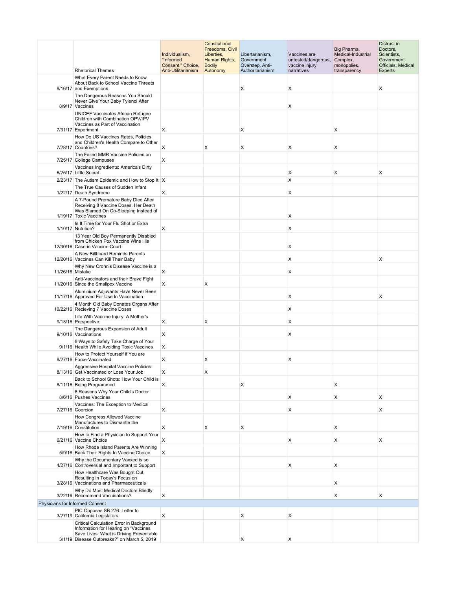|                                 | <b>Rhetorical Themes</b>                                                                                                                      | Individualism,<br>"Informed<br>Consent," Choice,<br>Anti-Utilitarianism | Constiutional<br>Freedoms, Civil<br>Liberties,<br>Human Rights,<br><b>Bodily</b><br>Autonomy | Libertarianism,<br>Government<br>Overstep, Anti-<br>Authoritarianism | Vaccines are<br>untested/dangerous,<br>vaccine injury<br>narratives | Big Pharma,<br>Medical-Industrial<br>Complex,<br>monopolies,<br>transparency | Distrust in<br>Doctors,<br>Scientists,<br>Government<br>Officials, Medical<br>Experts |
|---------------------------------|-----------------------------------------------------------------------------------------------------------------------------------------------|-------------------------------------------------------------------------|----------------------------------------------------------------------------------------------|----------------------------------------------------------------------|---------------------------------------------------------------------|------------------------------------------------------------------------------|---------------------------------------------------------------------------------------|
|                                 | What Every Parent Needs to Know<br>About Back to School Vaccine Threats<br>8/16/17 and Exemptions                                             |                                                                         |                                                                                              | X                                                                    | X                                                                   |                                                                              | X                                                                                     |
|                                 | The Dangerous Reasons You Should<br>Never Give Your Baby Tylenol After                                                                        |                                                                         |                                                                                              |                                                                      |                                                                     |                                                                              |                                                                                       |
|                                 | 8/9/17 Vaccines<br><b>UNICEF Vaccinates African Refugee</b><br>Children with Combination OPV/IPV                                              |                                                                         |                                                                                              |                                                                      | X                                                                   |                                                                              |                                                                                       |
|                                 | Vaccines as Part of Vaccination<br>7/31/17 Experiment<br>How Do US Vaccines Rates, Policies                                                   | Χ                                                                       |                                                                                              | х                                                                    |                                                                     | Х                                                                            |                                                                                       |
|                                 | and Children's Health Compare to Other<br>7/28/17 Countries?                                                                                  | Χ                                                                       | X                                                                                            | Х                                                                    | X                                                                   | X                                                                            |                                                                                       |
|                                 | The Failed MMR Vaccine Policies on<br>7/25/17 College Campuses                                                                                | X                                                                       |                                                                                              |                                                                      |                                                                     |                                                                              |                                                                                       |
|                                 | Vaccines Ingredients: America's Dirty<br>6/25/17 Little Secret                                                                                |                                                                         |                                                                                              |                                                                      | х                                                                   | X                                                                            | Χ                                                                                     |
|                                 | 2/23/17 The Autism Epidemic and How to Stop It X                                                                                              |                                                                         |                                                                                              |                                                                      | X                                                                   |                                                                              |                                                                                       |
|                                 | The True Causes of Sudden Infant<br>1/22/17 Death Syndrome                                                                                    | Х                                                                       |                                                                                              |                                                                      | X                                                                   |                                                                              |                                                                                       |
|                                 | A 7-Pound Premature Baby Died After<br>Receiving 8 Vaccine Doses, Her Death<br>Was Blamed On Co-Sleeping Instead of<br>1/19/17 Toxic Vaccines |                                                                         |                                                                                              |                                                                      | Х                                                                   |                                                                              |                                                                                       |
|                                 | Is It Time for Your Flu Shot or Extra<br>1/10/17 Nutrition?                                                                                   | X                                                                       |                                                                                              |                                                                      | х                                                                   |                                                                              |                                                                                       |
|                                 | 13 Year Old Boy Permanently Disabled<br>from Chicken Pox Vaccine Wins His<br>12/30/16 Case in Vaccine Court                                   |                                                                         |                                                                                              |                                                                      | х                                                                   |                                                                              |                                                                                       |
|                                 | A New Billboard Reminds Parents<br>12/20/16 Vaccines Can Kill Their Baby                                                                      |                                                                         |                                                                                              |                                                                      | X                                                                   |                                                                              | х                                                                                     |
| 11/26/16 Mistake                | Why New Crohn's Disease Vaccine is a                                                                                                          | X                                                                       |                                                                                              |                                                                      | X                                                                   |                                                                              |                                                                                       |
|                                 | Anti-Vaccinators and their Brave Fight<br>11/20/16 Since the Smallpox Vaccine                                                                 | Χ                                                                       | X                                                                                            |                                                                      |                                                                     |                                                                              |                                                                                       |
|                                 | Aluminium Adjuvants Have Never Been<br>11/17/16 Approved For Use In Vaccination                                                               |                                                                         |                                                                                              |                                                                      | х                                                                   |                                                                              | Χ                                                                                     |
|                                 | 4 Month Old Baby Donates Organs After<br>10/22/16 Recieving 7 Vaccine Doses                                                                   |                                                                         |                                                                                              |                                                                      | х                                                                   |                                                                              |                                                                                       |
|                                 | Life With Vaccine Injury: A Mother's<br>9/13/16 Perspective                                                                                   | Х                                                                       | х                                                                                            |                                                                      | X                                                                   |                                                                              |                                                                                       |
|                                 | The Dangerous Expansion of Adult<br>9/10/16 Vaccinations                                                                                      | X                                                                       |                                                                                              |                                                                      | X                                                                   |                                                                              |                                                                                       |
|                                 | 8 Ways to Safely Take Charge of Your<br>9/1/16 Health While Avoiding Toxic Vaccines                                                           | Χ                                                                       |                                                                                              |                                                                      |                                                                     |                                                                              |                                                                                       |
|                                 | How to Protect Yourself if You are<br>8/27/16 Force-Vaccinated                                                                                | Х                                                                       | X                                                                                            |                                                                      | х                                                                   |                                                                              |                                                                                       |
|                                 | Aggressive Hospital Vaccine Policies:<br>8/13/16 Get Vaccinated or Lose Your Job                                                              | x                                                                       | х                                                                                            |                                                                      |                                                                     |                                                                              |                                                                                       |
|                                 | Back to School Shots: How Your Child is<br>8/11/16 Being Programmed                                                                           | Χ                                                                       |                                                                                              | х                                                                    |                                                                     | X                                                                            |                                                                                       |
|                                 | 8 Reasons Why Your Child's Doctor<br>8/6/16 Pushes Vaccines                                                                                   |                                                                         |                                                                                              |                                                                      | Х                                                                   | X                                                                            | X                                                                                     |
|                                 | Vaccines: The Exception to Medical<br>7/27/16 Coercion                                                                                        | Χ                                                                       |                                                                                              |                                                                      | Х                                                                   |                                                                              | Х                                                                                     |
|                                 | How Congress Allowed Vaccine<br>Manufactures to Dismantle the<br>7/19/16 Constitution                                                         | X                                                                       | X                                                                                            | Х                                                                    |                                                                     | X                                                                            |                                                                                       |
|                                 | How to Find a Physician to Support Your<br>6/21/16 Vaccine Choice                                                                             | X                                                                       |                                                                                              |                                                                      | Х                                                                   | X                                                                            | Χ                                                                                     |
|                                 | How Rhode Island Parents Are Winning<br>5/9/16 Back Their Rights to Vaccine Choice                                                            | X                                                                       |                                                                                              |                                                                      |                                                                     |                                                                              |                                                                                       |
|                                 | Why the Documentary Vaxxed is so<br>4/27/16 Controversial and Important to Support                                                            |                                                                         |                                                                                              |                                                                      | X                                                                   | X                                                                            |                                                                                       |
|                                 | How Healthcare Was Bought Out,<br>Resulting in Today's Focus on<br>3/28/16 Vaccinations and Pharmaceuticals                                   |                                                                         |                                                                                              |                                                                      |                                                                     | X                                                                            |                                                                                       |
|                                 | Why Do Most Medical Doctors Blindly<br>3/22/16 Recommend Vaccinations?                                                                        | X                                                                       |                                                                                              |                                                                      |                                                                     | X                                                                            | X                                                                                     |
| Physicians for Informed Consent |                                                                                                                                               |                                                                         |                                                                                              |                                                                      |                                                                     |                                                                              |                                                                                       |
|                                 | PIC Opposes SB 276: Letter to<br>3/27/19 California Legislators                                                                               | X                                                                       |                                                                                              | х                                                                    | х                                                                   |                                                                              |                                                                                       |
|                                 | Critical Calculation Error in Background<br>Information for Hearing on "Vaccines<br>Save Lives: What is Driving Preventable                   |                                                                         |                                                                                              |                                                                      |                                                                     |                                                                              |                                                                                       |
|                                 | 3/1/19 Disease Outbreaks?" on March 5, 2019                                                                                                   |                                                                         |                                                                                              | Х                                                                    | Х                                                                   |                                                                              |                                                                                       |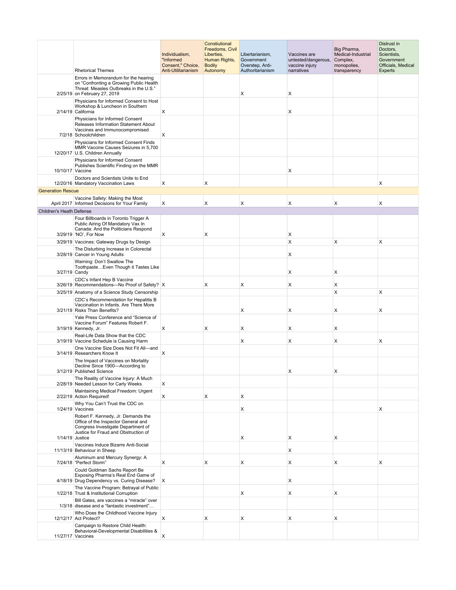|                                 | <b>Rhetorical Themes</b>                                                                                                                                                    | Individualism,<br>"Informed<br>Consent," Choice,<br>Anti-Utilitarianism | Constiutional<br>Freedoms, Civil<br>Liberties,<br>Human Rights,<br><b>Bodily</b><br>Autonomy | Libertarianism,<br>Government<br>Overstep, Anti-<br>Authoritarianism | Vaccines are<br>untested/dangerous,<br>vaccine injury<br>narratives | Big Pharma,<br>Medical-Industrial<br>Complex,<br>monopolies,<br>transparency | Distrust in<br>Doctors,<br>Scientists,<br>Government<br>Officials, Medical<br>Experts |
|---------------------------------|-----------------------------------------------------------------------------------------------------------------------------------------------------------------------------|-------------------------------------------------------------------------|----------------------------------------------------------------------------------------------|----------------------------------------------------------------------|---------------------------------------------------------------------|------------------------------------------------------------------------------|---------------------------------------------------------------------------------------|
|                                 | Errors in Memorandum for the hearing<br>on "Confronting a Growing Public Health<br>Threat: Measles Outbreaks in the U.S."                                                   |                                                                         |                                                                                              |                                                                      |                                                                     |                                                                              |                                                                                       |
|                                 | 2/25/19 on February 27, 2019<br>Physicians for Informed Consent to Host<br>Workshop & Luncheon in Southern<br>2/14/19 California                                            | X                                                                       |                                                                                              | Х                                                                    | X<br>Х                                                              |                                                                              |                                                                                       |
|                                 | Physicians for Informed Consent<br>Releases Information Statement About<br>Vaccines and Immunocompromised                                                                   |                                                                         |                                                                                              |                                                                      |                                                                     |                                                                              |                                                                                       |
|                                 | 7/2/18 Schoolchildren<br>Physicians for Informed Consent Finds<br>MMR Vaccine Causes Seizures in 5,700<br>12/20/17 U.S. Children Annually                                   | х                                                                       |                                                                                              |                                                                      |                                                                     |                                                                              |                                                                                       |
| 10/10/17 Vaccine                | Physicians for Informed Consent<br>Publishes Scientific Finding on the MMR                                                                                                  |                                                                         |                                                                                              |                                                                      | X                                                                   |                                                                              |                                                                                       |
|                                 | Doctors and Scientists Unite to End<br>12/20/16 Mandatory Vaccination Laws                                                                                                  | х                                                                       | х                                                                                            |                                                                      |                                                                     |                                                                              | Х                                                                                     |
| <b>Generation Rescue</b>        |                                                                                                                                                                             |                                                                         |                                                                                              |                                                                      |                                                                     |                                                                              |                                                                                       |
|                                 | Vaccine Safety: Making the Most<br>April 2017 Informed Decisions for Your Family                                                                                            | X                                                                       | X                                                                                            | X                                                                    | X                                                                   | X                                                                            | X                                                                                     |
| <b>Children's Heath Defense</b> |                                                                                                                                                                             |                                                                         |                                                                                              |                                                                      |                                                                     |                                                                              |                                                                                       |
|                                 | Four Billboards in Toronto Trigger A<br>Public Airing Of Mandatory Vax In<br>Canada: And the Politicians Respond<br>3/29/19 'NO', For Now                                   | X                                                                       | X                                                                                            |                                                                      | Х                                                                   |                                                                              |                                                                                       |
|                                 | 3/29/19 Vaccines: Gateway Drugs by Design                                                                                                                                   |                                                                         |                                                                                              |                                                                      | $\times$                                                            | X                                                                            | X                                                                                     |
|                                 | The Disturbing Increase in Colorectal<br>3/28/19 Cancer in Young Adults                                                                                                     |                                                                         |                                                                                              |                                                                      | X                                                                   |                                                                              |                                                                                       |
| 3/27/19 Candy                   | Warning: Don't Swallow The<br>Toothpaste Even Though it Tastes Like                                                                                                         |                                                                         |                                                                                              |                                                                      | X                                                                   | X                                                                            |                                                                                       |
|                                 | CDC's Infant Hep B Vaccine<br>3/26/19 Recommendations-No Proof of Safety? X                                                                                                 |                                                                         | X                                                                                            | X                                                                    | X                                                                   | X                                                                            |                                                                                       |
|                                 | 3/25/19 Anatomy of a Science Study Censorship                                                                                                                               |                                                                         |                                                                                              |                                                                      |                                                                     | X                                                                            | X                                                                                     |
|                                 | CDC's Recommendation for Hepatitis B<br>Vaccination in Infants. Are There More<br>3/21/19 Risks Than Benefits?                                                              |                                                                         |                                                                                              | X                                                                    | X                                                                   | X                                                                            | X                                                                                     |
|                                 | Yale Press Conference and "Science of<br>Vaccine Forum" Features Robert F.<br>3/19/19 Kennedy, Jr.                                                                          | X                                                                       | X                                                                                            | Χ                                                                    | X                                                                   | X                                                                            |                                                                                       |
|                                 | Real-Life Data Show that the CDC<br>3/19/19 Vaccine Schedule is Causing Harm                                                                                                |                                                                         |                                                                                              | X                                                                    | X                                                                   | X                                                                            | Χ                                                                                     |
|                                 | One Vaccine Size Does Not Fit All-and<br>3/14/19 Researchers Know It                                                                                                        | X                                                                       |                                                                                              |                                                                      |                                                                     |                                                                              |                                                                                       |
|                                 | The Impact of Vaccines on Mortality<br>Decline Since 1900-According to<br>3/12/19 Published Science                                                                         |                                                                         |                                                                                              |                                                                      | x                                                                   |                                                                              |                                                                                       |
|                                 | The Reality of Vaccine Injury: A Much<br>2/28/19 Needed Lesson for Carly Weeks                                                                                              | х                                                                       |                                                                                              |                                                                      |                                                                     |                                                                              |                                                                                       |
|                                 | Maintaining Medical Freedom: Urgent<br>2/22/19 Action Required!                                                                                                             | X                                                                       | X                                                                                            | X                                                                    |                                                                     |                                                                              |                                                                                       |
|                                 | Why You Can't Trust the CDC on                                                                                                                                              |                                                                         |                                                                                              |                                                                      |                                                                     |                                                                              |                                                                                       |
|                                 | 1/24/19 Vaccines<br>Robert F. Kennedy, Jr. Demands the<br>Office of the Inspector General and<br>Congress Investigate Department of<br>Justice for Fraud and Obstruction of |                                                                         |                                                                                              | X                                                                    |                                                                     |                                                                              | X                                                                                     |
| 1/14/19 Justice                 |                                                                                                                                                                             |                                                                         |                                                                                              | Χ                                                                    | X                                                                   | X                                                                            |                                                                                       |
|                                 | Vaccines Induce Bizarre Anti-Social<br>11/13/19 Behaviour in Sheep                                                                                                          |                                                                         |                                                                                              |                                                                      | $\mathsf{x}$                                                        |                                                                              |                                                                                       |
|                                 | Aluminum and Mercury Synergy: A<br>7/24/18 "Perfect Storm"                                                                                                                  | X                                                                       | X                                                                                            | X                                                                    | X                                                                   | X                                                                            | X                                                                                     |
|                                 | Could Goldman Sachs Report Be<br>Exposing Pharma's Real End Game of<br>4/18/19 Drug Dependency vs. Curing Disease?                                                          | X                                                                       |                                                                                              |                                                                      | X                                                                   |                                                                              |                                                                                       |
|                                 | The Vaccine Program: Betrayal of Public<br>1/22/18 Trust & Institutional Corruption                                                                                         |                                                                         |                                                                                              | X                                                                    | X                                                                   | X                                                                            |                                                                                       |
|                                 | Bill Gates, are vaccines a "miracle" over<br>1/3/18 disease and a "fantastic investment"                                                                                    |                                                                         |                                                                                              |                                                                      |                                                                     |                                                                              |                                                                                       |
|                                 | Who Does the Childhood Vaccine Injury<br>12/12/17 Act Protect?                                                                                                              | Х                                                                       | X                                                                                            | X                                                                    | X                                                                   | X                                                                            |                                                                                       |
|                                 | Campaign to Restore Child Health:<br>Behavioral-Developmental Disabilities &<br>11/27/17 Vaccines                                                                           | х                                                                       |                                                                                              |                                                                      |                                                                     |                                                                              |                                                                                       |